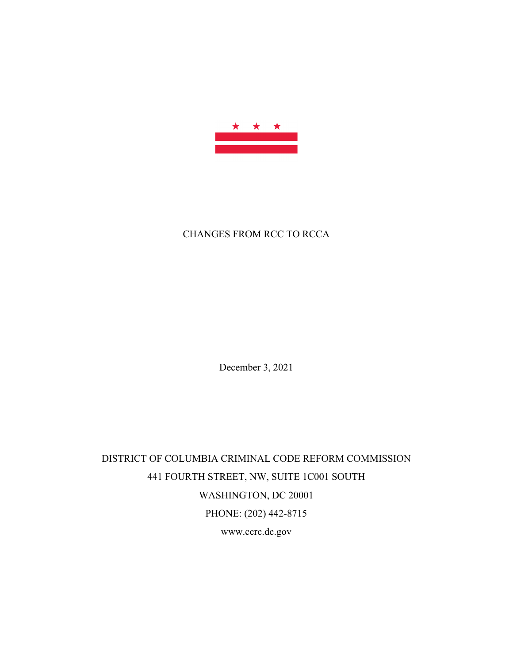

# CHANGES FROM RCC TO RCCA

December 3, 2021

DISTRICT OF COLUMBIA CRIMINAL CODE REFORM COMMISSION 441 FOURTH STREET, NW, SUITE 1C001 SOUTH WASHINGTON, DC 20001 PHONE: (202) 442-8715 www.ccrc.dc.gov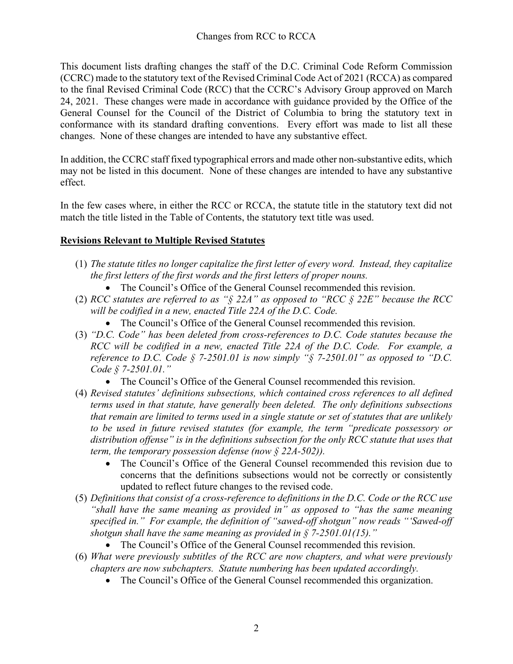This document lists drafting changes the staff of the D.C. Criminal Code Reform Commission (CCRC) made to the statutory text of the Revised Criminal Code Act of 2021 (RCCA) as compared to the final Revised Criminal Code (RCC) that the CCRC's Advisory Group approved on March 24, 2021. These changes were made in accordance with guidance provided by the Office of the General Counsel for the Council of the District of Columbia to bring the statutory text in conformance with its standard drafting conventions. Every effort was made to list all these changes. None of these changes are intended to have any substantive effect.

In addition, the CCRC staff fixed typographical errors and made other non-substantive edits, which may not be listed in this document. None of these changes are intended to have any substantive effect.

In the few cases where, in either the RCC or RCCA, the statute title in the statutory text did not match the title listed in the Table of Contents, the statutory text title was used.

# **Revisions Relevant to Multiple Revised Statutes**

- (1) *The statute titles no longer capitalize the first letter of every word. Instead, they capitalize the first letters of the first words and the first letters of proper nouns.*
	- The Council's Office of the General Counsel recommended this revision.
- (2) *RCC statutes are referred to as "§ 22A" as opposed to "RCC § 22E" because the RCC will be codified in a new, enacted Title 22A of the D.C. Code.* 
	- The Council's Office of the General Counsel recommended this revision.
- (3) *"D.C. Code" has been deleted from cross-references to D.C. Code statutes because the RCC will be codified in a new, enacted Title 22A of the D.C. Code. For example, a reference to D.C. Code § 7-2501.01 is now simply "§ 7-2501.01" as opposed to "D.C. Code § 7-2501.01."* 
	- The Council's Office of the General Counsel recommended this revision.
- (4) *Revised statutes' definitions subsections, which contained cross references to all defined terms used in that statute, have generally been deleted. The only definitions subsections that remain are limited to terms used in a single statute or set of statutes that are unlikely to be used in future revised statutes (for example, the term "predicate possessory or distribution offense" is in the definitions subsection for the only RCC statute that uses that term, the temporary possession defense (now § 22A-502)).*
	- The Council's Office of the General Counsel recommended this revision due to concerns that the definitions subsections would not be correctly or consistently updated to reflect future changes to the revised code.
- (5) *Definitions that consist of a cross-reference to definitions in the D.C. Code or the RCC use "shall have the same meaning as provided in" as opposed to "has the same meaning specified in." For example, the definition of "sawed-off shotgun" now reads "'Sawed-off shotgun shall have the same meaning as provided in § 7-2501.01(15)."* 
	- The Council's Office of the General Counsel recommended this revision.
- (6) *What were previously subtitles of the RCC are now chapters, and what were previously chapters are now subchapters. Statute numbering has been updated accordingly.* 
	- The Council's Office of the General Counsel recommended this organization.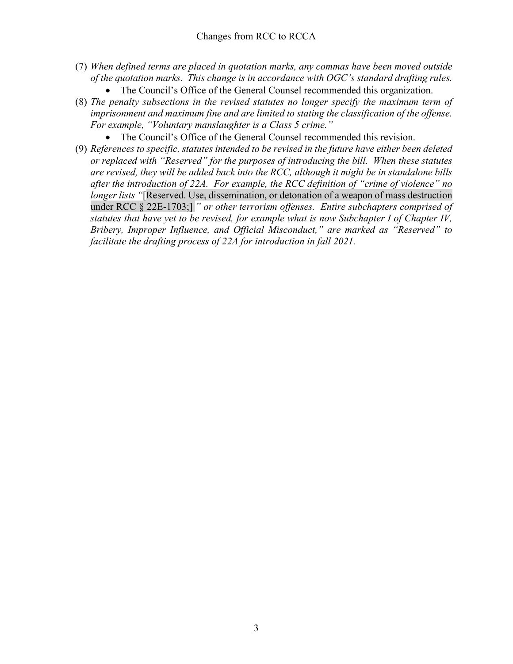- (7) *When defined terms are placed in quotation marks, any commas have been moved outside of the quotation marks. This change is in accordance with OGC's standard drafting rules.* 
	- The Council's Office of the General Counsel recommended this organization.
- (8) *The penalty subsections in the revised statutes no longer specify the maximum term of imprisonment and maximum fine and are limited to stating the classification of the offense. For example, "Voluntary manslaughter is a Class 5 crime."* 
	- The Council's Office of the General Counsel recommended this revision.
- (9) *References to specific, statutes intended to be revised in the future have either been deleted or replaced with "Reserved" for the purposes of introducing the bill. When these statutes are revised, they will be added back into the RCC, although it might be in standalone bills after the introduction of 22A. For example, the RCC definition of "crime of violence" no longer lists "*[Reserved. Use, dissemination, or detonation of a weapon of mass destruction under RCC § 22E-1703;] *" or other terrorism offenses. Entire subchapters comprised of statutes that have yet to be revised, for example what is now Subchapter I of Chapter IV, Bribery, Improper Influence, and Official Misconduct," are marked as "Reserved" to facilitate the drafting process of 22A for introduction in fall 2021.*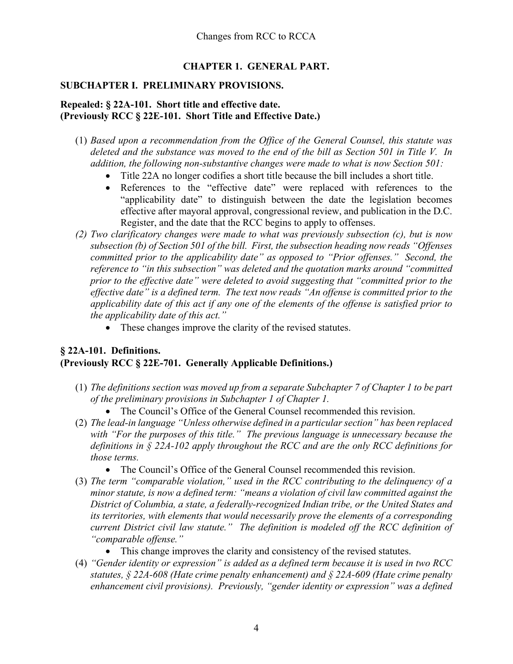# **CHAPTER 1. GENERAL PART.**

#### **SUBCHAPTER I. PRELIMINARY PROVISIONS.**

#### **Repealed: § 22A-101. Short title and effective date. (Previously RCC § 22E-101. Short Title and Effective Date.)**

- (1) *Based upon a recommendation from the Office of the General Counsel, this statute was deleted and the substance was moved to the end of the bill as Section 501 in Title V. In addition, the following non-substantive changes were made to what is now Section 501:*
	- Title 22A no longer codifies a short title because the bill includes a short title.
	- References to the "effective date" were replaced with references to the "applicability date" to distinguish between the date the legislation becomes effective after mayoral approval, congressional review, and publication in the D.C. Register, and the date that the RCC begins to apply to offenses.
- *(2) Two clarificatory changes were made to what was previously subsection (c), but is now subsection (b) of Section 501 of the bill. First, the subsection heading now reads "Offenses committed prior to the applicability date" as opposed to "Prior offenses." Second, the reference to "in this subsection" was deleted and the quotation marks around "committed prior to the effective date" were deleted to avoid suggesting that "committed prior to the effective date" is a defined term. The text now reads "An offense is committed prior to the applicability date of this act if any one of the elements of the offense is satisfied prior to the applicability date of this act."* 
	- These changes improve the clarity of the revised statutes.

#### **§ 22A-101. Definitions. (Previously RCC § 22E-701. Generally Applicable Definitions.)**

- (1) *The definitions section was moved up from a separate Subchapter 7 of Chapter 1 to be part of the preliminary provisions in Subchapter 1 of Chapter 1.* 
	- The Council's Office of the General Counsel recommended this revision.
- (2) *The lead-in language "Unless otherwise defined in a particular section" has been replaced with "For the purposes of this title." The previous language is unnecessary because the definitions in § 22A-102 apply throughout the RCC and are the only RCC definitions for those terms.* 
	- The Council's Office of the General Counsel recommended this revision.
- (3) *The term "comparable violation," used in the RCC contributing to the delinquency of a minor statute, is now a defined term: "means a violation of civil law committed against the District of Columbia, a state, a federally-recognized Indian tribe, or the United States and its territories, with elements that would necessarily prove the elements of a corresponding current District civil law statute." The definition is modeled off the RCC definition of "comparable offense."*
	- This change improves the clarity and consistency of the revised statutes.
- (4) *"Gender identity or expression" is added as a defined term because it is used in two RCC statutes, § 22A-608 (Hate crime penalty enhancement) and § 22A-609 (Hate crime penalty enhancement civil provisions). Previously, "gender identity or expression" was a defined*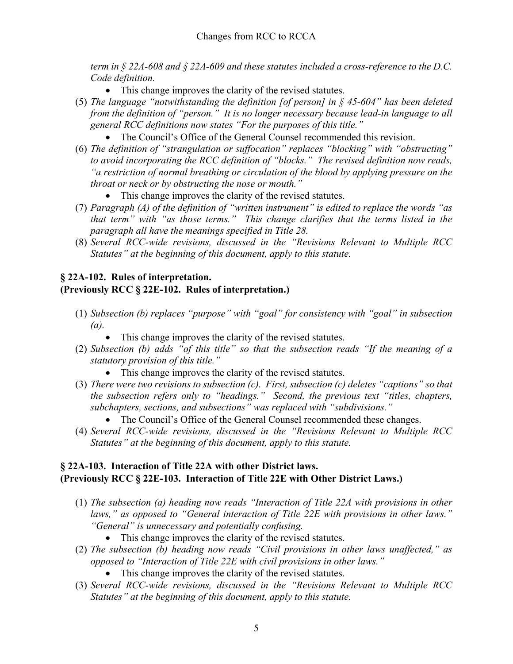*term in § 22A-608 and § 22A-609 and these statutes included a cross-reference to the D.C. Code definition.* 

- This change improves the clarity of the revised statutes.
- (5) *The language "notwithstanding the definition [of person] in § 45-604" has been deleted from the definition of "person." It is no longer necessary because lead-in language to all general RCC definitions now states "For the purposes of this title."* 
	- The Council's Office of the General Counsel recommended this revision.
- (6) *The definition of "strangulation or suffocation" replaces "blocking" with "obstructing" to avoid incorporating the RCC definition of "blocks." The revised definition now reads, "a restriction of normal breathing or circulation of the blood by applying pressure on the throat or neck or by obstructing the nose or mouth."*
	- This change improves the clarity of the revised statutes.
- (7) *Paragraph (A) of the definition of "written instrument" is edited to replace the words "as that term" with "as those terms." This change clarifies that the terms listed in the paragraph all have the meanings specified in Title 28.*
- (8) *Several RCC-wide revisions, discussed in the "Revisions Relevant to Multiple RCC Statutes" at the beginning of this document, apply to this statute.*

# **§ 22A-102. Rules of interpretation.**

# **(Previously RCC § 22E-102. Rules of interpretation.)**

- (1) *Subsection (b) replaces "purpose" with "goal" for consistency with "goal" in subsection (a).*
	- This change improves the clarity of the revised statutes.
- (2) *Subsection (b) adds "of this title" so that the subsection reads "If the meaning of a statutory provision of this title."* 
	- This change improves the clarity of the revised statutes.
- (3) *There were two revisions to subsection (c). First, subsection (c) deletes "captions" so that the subsection refers only to "headings." Second, the previous text "titles, chapters, subchapters, sections, and subsections" was replaced with "subdivisions."* 
	- The Council's Office of the General Counsel recommended these changes.
- (4) *Several RCC-wide revisions, discussed in the "Revisions Relevant to Multiple RCC Statutes" at the beginning of this document, apply to this statute.*

# **§ 22A-103. Interaction of Title 22A with other District laws. (Previously RCC § 22E-103. Interaction of Title 22E with Other District Laws.)**

- (1) *The subsection (a) heading now reads "Interaction of Title 22A with provisions in other laws," as opposed to "General interaction of Title 22E with provisions in other laws." "General" is unnecessary and potentially confusing.* 
	- This change improves the clarity of the revised statutes.
- (2) *The subsection (b) heading now reads "Civil provisions in other laws unaffected," as opposed to "Interaction of Title 22E with civil provisions in other laws."* 
	- This change improves the clarity of the revised statutes.
- (3) *Several RCC-wide revisions, discussed in the "Revisions Relevant to Multiple RCC Statutes" at the beginning of this document, apply to this statute.*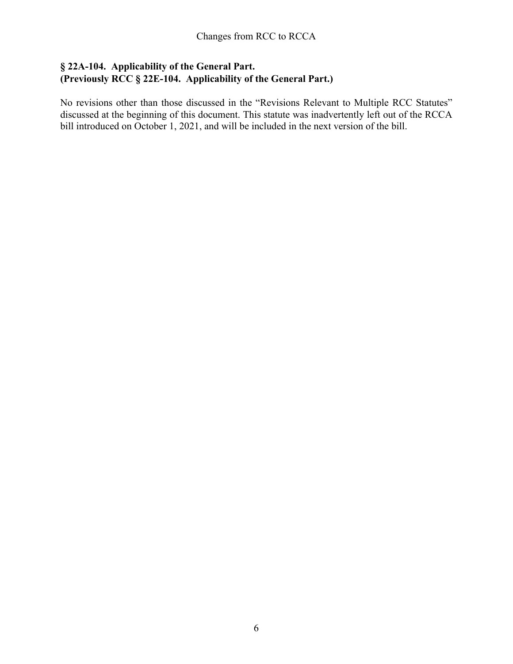# **§ 22A-104. Applicability of the General Part. (Previously RCC § 22E-104. Applicability of the General Part.)**

No revisions other than those discussed in the "Revisions Relevant to Multiple RCC Statutes" discussed at the beginning of this document. This statute was inadvertently left out of the RCCA bill introduced on October 1, 2021, and will be included in the next version of the bill.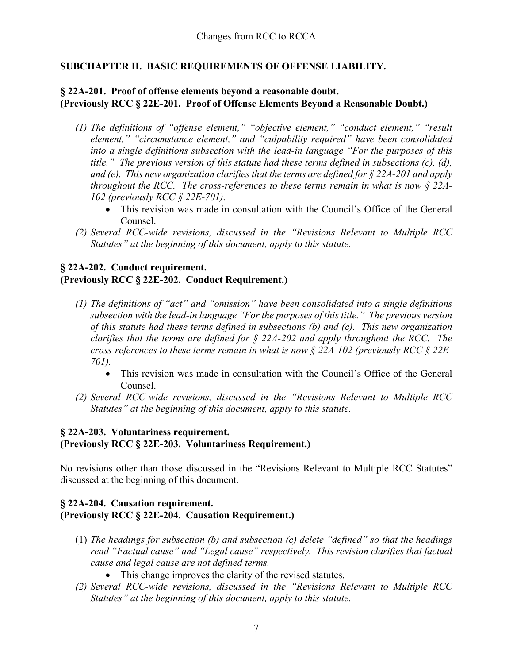# **SUBCHAPTER II. BASIC REQUIREMENTS OF OFFENSE LIABILITY.**

# **§ 22A-201. Proof of offense elements beyond a reasonable doubt. (Previously RCC § 22E-201. Proof of Offense Elements Beyond a Reasonable Doubt.)**

- *(1) The definitions of "offense element," "objective element," "conduct element," "result element," "circumstance element," and "culpability required" have been consolidated into a single definitions subsection with the lead-in language "For the purposes of this title." The previous version of this statute had these terms defined in subsections (c), (d), and (e). This new organization clarifies that the terms are defined for § 22A-201 and apply throughout the RCC. The cross-references to these terms remain in what is now § 22A-102 (previously RCC § 22E-701).* 
	- This revision was made in consultation with the Council's Office of the General Counsel.
- *(2) Several RCC-wide revisions, discussed in the "Revisions Relevant to Multiple RCC Statutes" at the beginning of this document, apply to this statute.*

# **§ 22A-202. Conduct requirement.**

### **(Previously RCC § 22E-202. Conduct Requirement.)**

- *(1) The definitions of "act" and "omission" have been consolidated into a single definitions subsection with the lead-in language "For the purposes of this title." The previous version of this statute had these terms defined in subsections (b) and (c). This new organization clarifies that the terms are defined for § 22A-202 and apply throughout the RCC. The cross-references to these terms remain in what is now § 22A-102 (previously RCC § 22E-701).* 
	- This revision was made in consultation with the Council's Office of the General Counsel.
- *(2) Several RCC-wide revisions, discussed in the "Revisions Relevant to Multiple RCC Statutes" at the beginning of this document, apply to this statute.*

# **§ 22A-203. Voluntariness requirement. (Previously RCC § 22E-203. Voluntariness Requirement.)**

No revisions other than those discussed in the "Revisions Relevant to Multiple RCC Statutes" discussed at the beginning of this document.

# **§ 22A-204. Causation requirement. (Previously RCC § 22E-204. Causation Requirement.)**

- (1) *The headings for subsection (b) and subsection (c) delete "defined" so that the headings read "Factual cause" and "Legal cause" respectively. This revision clarifies that factual cause and legal cause are not defined terms.* 
	- This change improves the clarity of the revised statutes.
- *(2) Several RCC-wide revisions, discussed in the "Revisions Relevant to Multiple RCC Statutes" at the beginning of this document, apply to this statute.*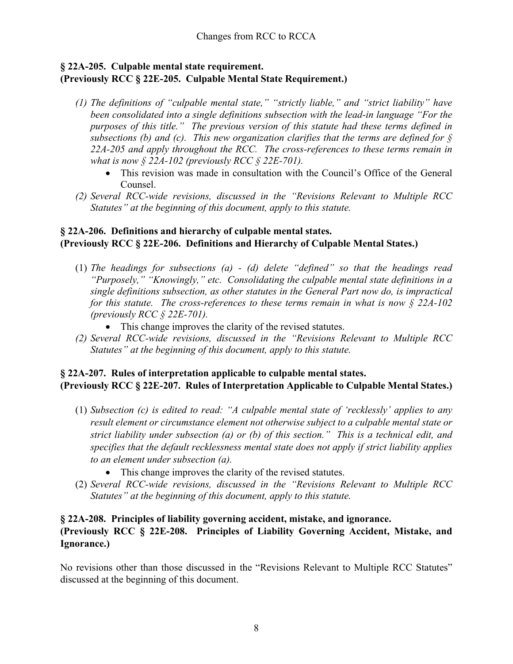# **§ 22A-205. Culpable mental state requirement. (Previously RCC § 22E-205. Culpable Mental State Requirement.)**

- *(1) The definitions of "culpable mental state," "strictly liable," and "strict liability" have been consolidated into a single definitions subsection with the lead-in language "For the purposes of this title." The previous version of this statute had these terms defined in subsections (b) and (c). This new organization clarifies that the terms are defined for § 22A-205 and apply throughout the RCC. The cross-references to these terms remain in what is now § 22A-102 (previously RCC § 22E-701).* 
	- This revision was made in consultation with the Council's Office of the General Counsel.
- *(2) Several RCC-wide revisions, discussed in the "Revisions Relevant to Multiple RCC Statutes" at the beginning of this document, apply to this statute.*

# **§ 22A-206. Definitions and hierarchy of culpable mental states. (Previously RCC § 22E-206. Definitions and Hierarchy of Culpable Mental States.)**

- (1) *The headings for subsections (a) - (d) delete "defined" so that the headings read "Purposely," "Knowingly," etc. Consolidating the culpable mental state definitions in a single definitions subsection, as other statutes in the General Part now do, is impractical for this statute. The cross-references to these terms remain in what is now § 22A-102 (previously RCC § 22E-701).*
	- This change improves the clarity of the revised statutes.
- *(2) Several RCC-wide revisions, discussed in the "Revisions Relevant to Multiple RCC Statutes" at the beginning of this document, apply to this statute.*

# **§ 22A-207. Rules of interpretation applicable to culpable mental states. (Previously RCC § 22E-207. Rules of Interpretation Applicable to Culpable Mental States.)**

- (1) *Subsection (c) is edited to read: "A culpable mental state of 'recklessly' applies to any result element or circumstance element not otherwise subject to a culpable mental state or strict liability under subsection (a) or (b) of this section." This is a technical edit, and specifies that the default recklessness mental state does not apply if strict liability applies to an element under subsection (a).* 
	- This change improves the clarity of the revised statutes.
- (2) *Several RCC-wide revisions, discussed in the "Revisions Relevant to Multiple RCC Statutes" at the beginning of this document, apply to this statute.*

# **§ 22A-208. Principles of liability governing accident, mistake, and ignorance. (Previously RCC § 22E-208. Principles of Liability Governing Accident, Mistake, and Ignorance.)**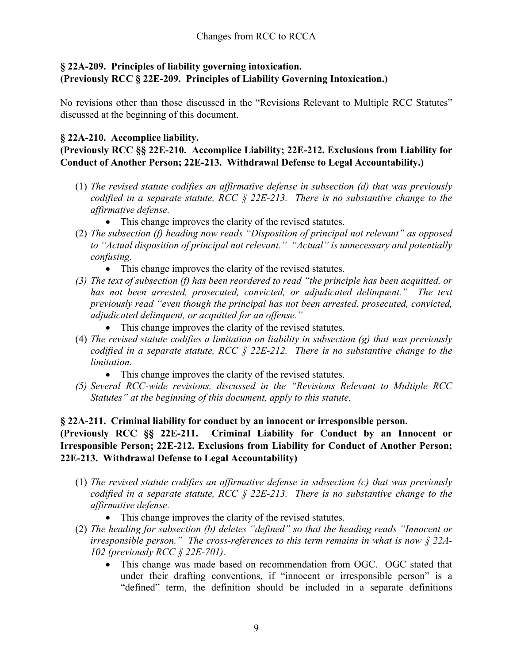# **§ 22A-209. Principles of liability governing intoxication. (Previously RCC § 22E-209. Principles of Liability Governing Intoxication.)**

No revisions other than those discussed in the "Revisions Relevant to Multiple RCC Statutes" discussed at the beginning of this document.

# **§ 22A-210. Accomplice liability.**

# **(Previously RCC §§ 22E-210. Accomplice Liability; 22E-212. Exclusions from Liability for Conduct of Another Person; 22E-213. Withdrawal Defense to Legal Accountability.)**

- (1) *The revised statute codifies an affirmative defense in subsection (d) that was previously codified in a separate statute, RCC § 22E-213. There is no substantive change to the affirmative defense.* 
	- This change improves the clarity of the revised statutes.
- (2) *The subsection (f) heading now reads "Disposition of principal not relevant" as opposed to "Actual disposition of principal not relevant." "Actual" is unnecessary and potentially confusing.* 
	- This change improves the clarity of the revised statutes.
- *(3) The text of subsection (f) has been reordered to read "the principle has been acquitted, or*  has not been arrested, prosecuted, convicted, or adjudicated delinquent." The text *previously read "even though the principal has not been arrested, prosecuted, convicted, adjudicated delinquent, or acquitted for an offense."* 
	- This change improves the clarity of the revised statutes.
- (4) *The revised statute codifies a limitation on liability in subsection (g) that was previously codified in a separate statute, RCC § 22E-212. There is no substantive change to the limitation.* 
	- This change improves the clarity of the revised statutes.
- *(5) Several RCC-wide revisions, discussed in the "Revisions Relevant to Multiple RCC Statutes" at the beginning of this document, apply to this statute.*

# **§ 22A-211. Criminal liability for conduct by an innocent or irresponsible person.**

# **(Previously RCC §§ 22E-211. Criminal Liability for Conduct by an Innocent or Irresponsible Person; 22E-212. Exclusions from Liability for Conduct of Another Person; 22E-213. Withdrawal Defense to Legal Accountability)**

- (1) *The revised statute codifies an affirmative defense in subsection (c) that was previously codified in a separate statute, RCC § 22E-213. There is no substantive change to the affirmative defense.* 
	- This change improves the clarity of the revised statutes.
- (2) *The heading for subsection (b) deletes "defined" so that the heading reads "Innocent or irresponsible person." The cross-references to this term remains in what is now § 22A-102 (previously RCC § 22E-701).* 
	- This change was made based on recommendation from OGC. OGC stated that under their drafting conventions, if "innocent or irresponsible person" is a "defined" term, the definition should be included in a separate definitions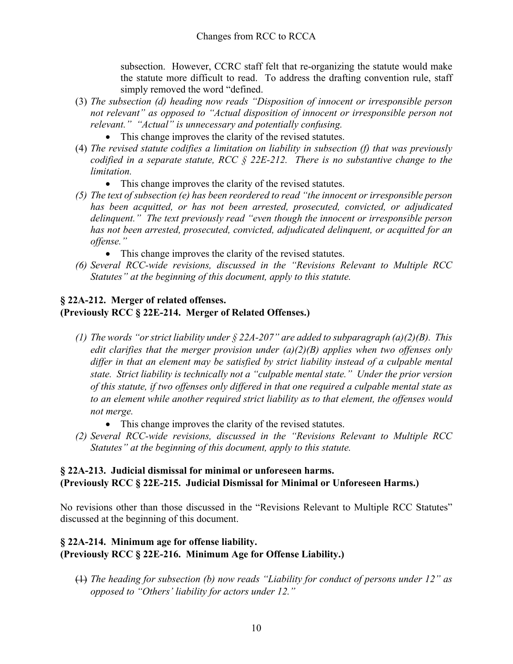subsection. However, CCRC staff felt that re-organizing the statute would make the statute more difficult to read. To address the drafting convention rule, staff simply removed the word "defined.

- (3) *The subsection (d) heading now reads "Disposition of innocent or irresponsible person not relevant" as opposed to "Actual disposition of innocent or irresponsible person not relevant." "Actual" is unnecessary and potentially confusing.* 
	- This change improves the clarity of the revised statutes.
- (4) *The revised statute codifies a limitation on liability in subsection (f) that was previously codified in a separate statute, RCC § 22E-212. There is no substantive change to the limitation.* 
	- This change improves the clarity of the revised statutes.
- *(5) The text of subsection (e) has been reordered to read "the innocent or irresponsible person has been acquitted, or has not been arrested, prosecuted, convicted, or adjudicated delinquent." The text previously read "even though the innocent or irresponsible person has not been arrested, prosecuted, convicted, adjudicated delinquent, or acquitted for an offense."* 
	- This change improves the clarity of the revised statutes.
- *(6) Several RCC-wide revisions, discussed in the "Revisions Relevant to Multiple RCC Statutes" at the beginning of this document, apply to this statute.*

### **§ 22A-212. Merger of related offenses. (Previously RCC § 22E-214. Merger of Related Offenses.)**

- *(1) The words "or strict liability under § 22A-207" are added to subparagraph (a)(2)(B). This edit clarifies that the merger provision under (a)(2)(B) applies when two offenses only differ in that an element may be satisfied by strict liability instead of a culpable mental state. Strict liability is technically not a "culpable mental state." Under the prior version of this statute, if two offenses only differed in that one required a culpable mental state as to an element while another required strict liability as to that element, the offenses would not merge.* 
	- This change improves the clarity of the revised statutes.
- *(2) Several RCC-wide revisions, discussed in the "Revisions Relevant to Multiple RCC Statutes" at the beginning of this document, apply to this statute.*

### **§ 22A-213. Judicial dismissal for minimal or unforeseen harms. (Previously RCC § 22E-215. Judicial Dismissal for Minimal or Unforeseen Harms.)**

No revisions other than those discussed in the "Revisions Relevant to Multiple RCC Statutes" discussed at the beginning of this document.

# **§ 22A-214. Minimum age for offense liability. (Previously RCC § 22E-216. Minimum Age for Offense Liability.)**

(1) *The heading for subsection (b) now reads "Liability for conduct of persons under 12" as opposed to "Others' liability for actors under 12."*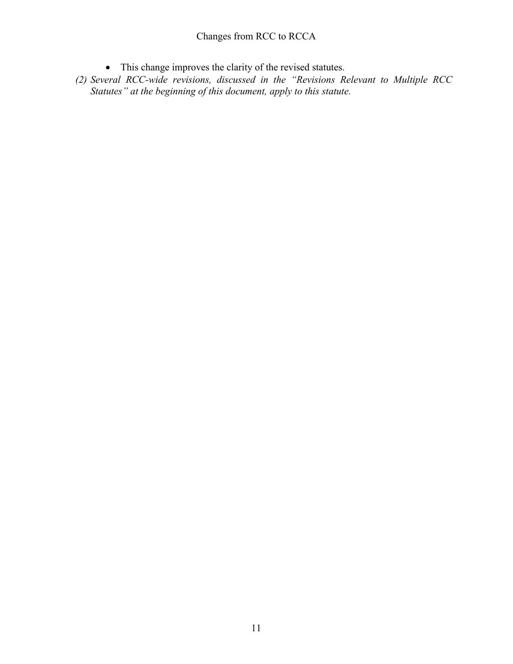# Changes from RCC to RCCA

- This change improves the clarity of the revised statutes.
- *(2) Several RCC-wide revisions, discussed in the "Revisions Relevant to Multiple RCC Statutes" at the beginning of this document, apply to this statute.*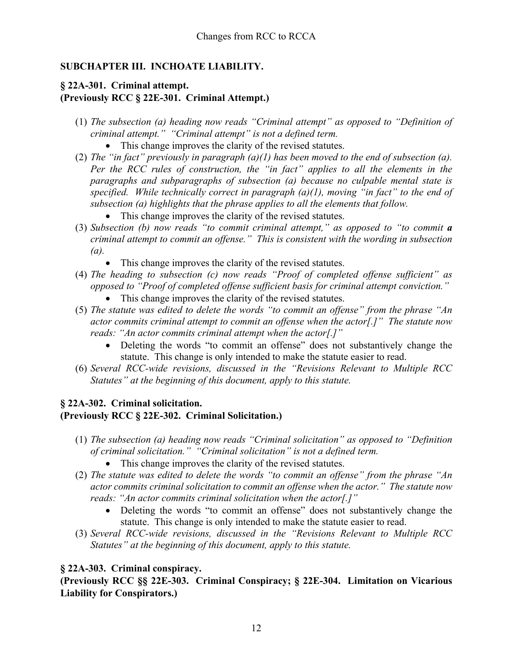# **SUBCHAPTER III. INCHOATE LIABILITY.**

# **§ 22A-301. Criminal attempt. (Previously RCC § 22E-301. Criminal Attempt.)**

- (1) *The subsection (a) heading now reads "Criminal attempt" as opposed to "Definition of criminal attempt." "Criminal attempt" is not a defined term.*
	- This change improves the clarity of the revised statutes.
- (2) *The "in fact" previously in paragraph (a)(1) has been moved to the end of subsection (a). Per the RCC rules of construction, the "in fact" applies to all the elements in the paragraphs and subparagraphs of subsection (a) because no culpable mental state is specified. While technically correct in paragraph (a)(1), moving "in fact" to the end of subsection (a) highlights that the phrase applies to all the elements that follow.* 
	- This change improves the clarity of the revised statutes.
- (3) *Subsection (b) now reads "to commit criminal attempt," as opposed to "to commit a criminal attempt to commit an offense." This is consistent with the wording in subsection (a).* 
	- This change improves the clarity of the revised statutes.
- (4) *The heading to subsection (c) now reads "Proof of completed offense sufficient" as opposed to "Proof of completed offense sufficient basis for criminal attempt conviction."*
	- This change improves the clarity of the revised statutes.
- (5) *The statute was edited to delete the words "to commit an offense" from the phrase "An actor commits criminal attempt to commit an offense when the actor[.]" The statute now reads: "An actor commits criminal attempt when the actor[.]"*
	- Deleting the words "to commit an offense" does not substantively change the statute. This change is only intended to make the statute easier to read.
- (6) *Several RCC-wide revisions, discussed in the "Revisions Relevant to Multiple RCC Statutes" at the beginning of this document, apply to this statute.*

# **§ 22A-302. Criminal solicitation. (Previously RCC § 22E-302. Criminal Solicitation.)**

- (1) *The subsection (a) heading now reads "Criminal solicitation" as opposed to "Definition of criminal solicitation." "Criminal solicitation" is not a defined term.* 
	- This change improves the clarity of the revised statutes.
- (2) *The statute was edited to delete the words "to commit an offense" from the phrase "An actor commits criminal solicitation to commit an offense when the actor." The statute now reads: "An actor commits criminal solicitation when the actor[.]"*
	- Deleting the words "to commit an offense" does not substantively change the statute. This change is only intended to make the statute easier to read.
- (3) *Several RCC-wide revisions, discussed in the "Revisions Relevant to Multiple RCC Statutes" at the beginning of this document, apply to this statute.*

# **§ 22A-303. Criminal conspiracy.**

**(Previously RCC §§ 22E-303. Criminal Conspiracy; § 22E-304. Limitation on Vicarious Liability for Conspirators.)**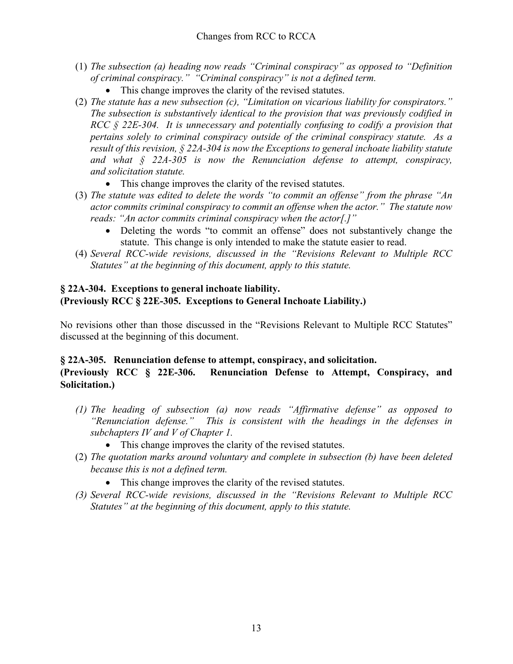- (1) *The subsection (a) heading now reads "Criminal conspiracy" as opposed to "Definition of criminal conspiracy." "Criminal conspiracy" is not a defined term.* 
	- This change improves the clarity of the revised statutes.
- (2) *The statute has a new subsection (c), "Limitation on vicarious liability for conspirators." The subsection is substantively identical to the provision that was previously codified in RCC § 22E-304. It is unnecessary and potentially confusing to codify a provision that pertains solely to criminal conspiracy outside of the criminal conspiracy statute. As a result of this revision, § 22A-304 is now the Exceptions to general inchoate liability statute and what § 22A-305 is now the Renunciation defense to attempt, conspiracy, and solicitation statute.* 
	- This change improves the clarity of the revised statutes.
- (3) *The statute was edited to delete the words "to commit an offense" from the phrase "An actor commits criminal conspiracy to commit an offense when the actor." The statute now reads: "An actor commits criminal conspiracy when the actor[.]"*
	- Deleting the words "to commit an offense" does not substantively change the statute. This change is only intended to make the statute easier to read.
- (4) *Several RCC-wide revisions, discussed in the "Revisions Relevant to Multiple RCC Statutes" at the beginning of this document, apply to this statute.*

# **§ 22A-304. Exceptions to general inchoate liability. (Previously RCC § 22E-305. Exceptions to General Inchoate Liability.)**

No revisions other than those discussed in the "Revisions Relevant to Multiple RCC Statutes" discussed at the beginning of this document.

# **§ 22A-305. Renunciation defense to attempt, conspiracy, and solicitation.**

### **(Previously RCC § 22E-306. Renunciation Defense to Attempt, Conspiracy, and Solicitation.)**

- *(1) The heading of subsection (a) now reads "Affirmative defense" as opposed to "Renunciation defense." This is consistent with the headings in the defenses in subchapters IV and V of Chapter 1.* 
	- This change improves the clarity of the revised statutes.
- (2) *The quotation marks around voluntary and complete in subsection (b) have been deleted because this is not a defined term.* 
	- This change improves the clarity of the revised statutes.
- *(3) Several RCC-wide revisions, discussed in the "Revisions Relevant to Multiple RCC Statutes" at the beginning of this document, apply to this statute.*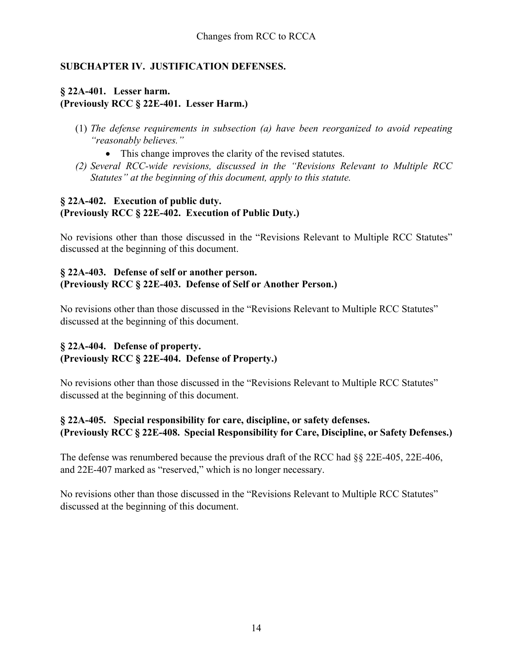# **SUBCHAPTER IV. JUSTIFICATION DEFENSES.**

# **§ 22A-401. Lesser harm. (Previously RCC § 22E-401. Lesser Harm.)**

- (1) *The defense requirements in subsection (a) have been reorganized to avoid repeating "reasonably believes."* 
	- This change improves the clarity of the revised statutes.
- *(2) Several RCC-wide revisions, discussed in the "Revisions Relevant to Multiple RCC Statutes" at the beginning of this document, apply to this statute.*

# **§ 22A-402. Execution of public duty. (Previously RCC § 22E-402. Execution of Public Duty.)**

No revisions other than those discussed in the "Revisions Relevant to Multiple RCC Statutes" discussed at the beginning of this document.

# **§ 22A-403. Defense of self or another person. (Previously RCC § 22E-403. Defense of Self or Another Person.)**

No revisions other than those discussed in the "Revisions Relevant to Multiple RCC Statutes" discussed at the beginning of this document.

# **§ 22A-404. Defense of property. (Previously RCC § 22E-404. Defense of Property.)**

No revisions other than those discussed in the "Revisions Relevant to Multiple RCC Statutes" discussed at the beginning of this document.

# **§ 22A-405. Special responsibility for care, discipline, or safety defenses. (Previously RCC § 22E-408. Special Responsibility for Care, Discipline, or Safety Defenses.)**

The defense was renumbered because the previous draft of the RCC had §§ 22E-405, 22E-406, and 22E-407 marked as "reserved," which is no longer necessary.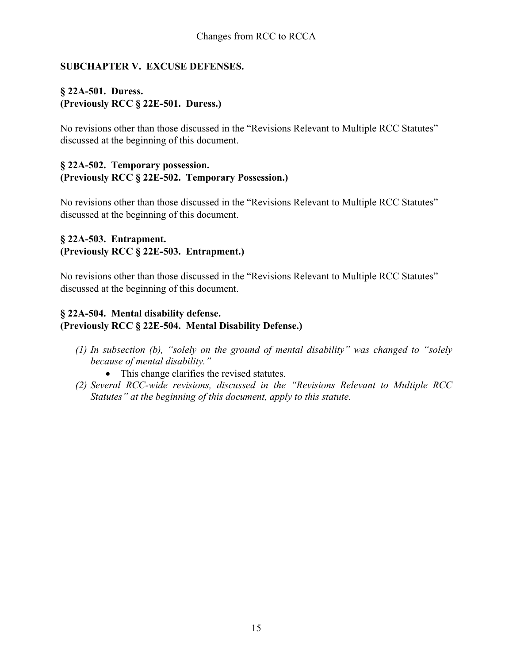# **SUBCHAPTER V. EXCUSE DEFENSES.**

# **§ 22A-501. Duress. (Previously RCC § 22E-501. Duress.)**

No revisions other than those discussed in the "Revisions Relevant to Multiple RCC Statutes" discussed at the beginning of this document.

### **§ 22A-502. Temporary possession. (Previously RCC § 22E-502. Temporary Possession.)**

No revisions other than those discussed in the "Revisions Relevant to Multiple RCC Statutes" discussed at the beginning of this document.

# **§ 22A-503. Entrapment. (Previously RCC § 22E-503. Entrapment.)**

No revisions other than those discussed in the "Revisions Relevant to Multiple RCC Statutes" discussed at the beginning of this document.

# **§ 22A-504. Mental disability defense. (Previously RCC § 22E-504. Mental Disability Defense.)**

- *(1) In subsection (b), "solely on the ground of mental disability" was changed to "solely because of mental disability."*
	- This change clarifies the revised statutes.
- *(2) Several RCC-wide revisions, discussed in the "Revisions Relevant to Multiple RCC Statutes" at the beginning of this document, apply to this statute.*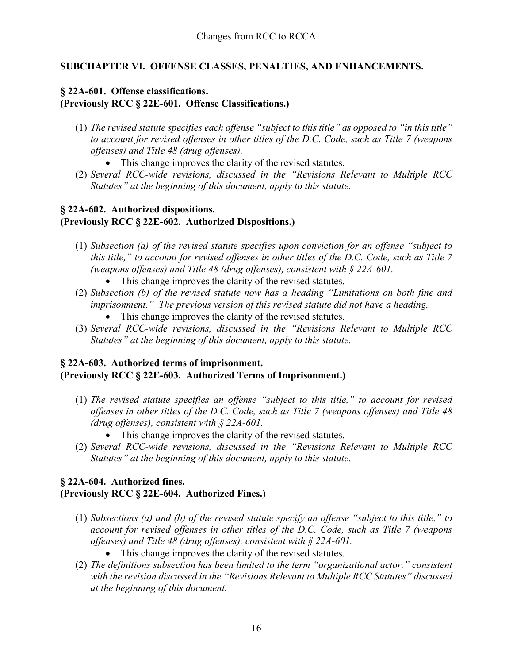# **SUBCHAPTER VI. OFFENSE CLASSES, PENALTIES, AND ENHANCEMENTS.**

# **§ 22A-601. Offense classifications. (Previously RCC § 22E-601. Offense Classifications.)**

- (1) *The revised statute specifies each offense "subject to this title" as opposed to "in this title" to account for revised offenses in other titles of the D.C. Code, such as Title 7 (weapons offenses) and Title 48 (drug offenses).* 
	- This change improves the clarity of the revised statutes.
- (2) *Several RCC-wide revisions, discussed in the "Revisions Relevant to Multiple RCC Statutes" at the beginning of this document, apply to this statute.*

# **§ 22A-602. Authorized dispositions. (Previously RCC § 22E-602. Authorized Dispositions.)**

- (1) *Subsection (a) of the revised statute specifies upon conviction for an offense "subject to this title," to account for revised offenses in other titles of the D.C. Code, such as Title 7 (weapons offenses) and Title 48 (drug offenses), consistent with § 22A-601.*
	- This change improves the clarity of the revised statutes.
- (2) *Subsection (b) of the revised statute now has a heading "Limitations on both fine and imprisonment." The previous version of this revised statute did not have a heading.*
	- This change improves the clarity of the revised statutes.
- (3) *Several RCC-wide revisions, discussed in the "Revisions Relevant to Multiple RCC Statutes" at the beginning of this document, apply to this statute.*

# **§ 22A-603. Authorized terms of imprisonment. (Previously RCC § 22E-603. Authorized Terms of Imprisonment.)**

- (1) *The revised statute specifies an offense "subject to this title," to account for revised offenses in other titles of the D.C. Code, such as Title 7 (weapons offenses) and Title 48 (drug offenses), consistent with § 22A-601.* 
	- This change improves the clarity of the revised statutes.
- (2) *Several RCC-wide revisions, discussed in the "Revisions Relevant to Multiple RCC Statutes" at the beginning of this document, apply to this statute.*

# **§ 22A-604. Authorized fines.**

### **(Previously RCC § 22E-604. Authorized Fines.)**

- (1) *Subsections (a) and (b) of the revised statute specify an offense "subject to this title," to account for revised offenses in other titles of the D.C. Code, such as Title 7 (weapons offenses) and Title 48 (drug offenses), consistent with § 22A-601.* 
	- This change improves the clarity of the revised statutes.
- (2) *The definitions subsection has been limited to the term "organizational actor," consistent with the revision discussed in the "Revisions Relevant to Multiple RCC Statutes" discussed at the beginning of this document.*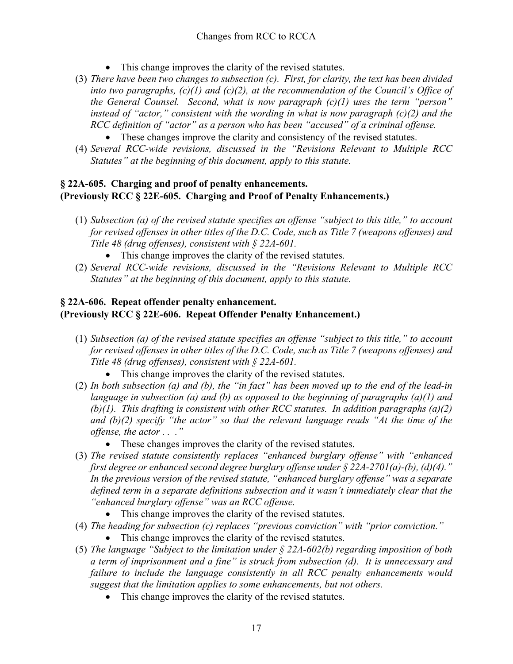- This change improves the clarity of the revised statutes.
- (3) *There have been two changes to subsection (c). First, for clarity, the text has been divided into two paragraphs, (c)(1) and (c)(2), at the recommendation of the Council's Office of the General Counsel. Second, what is now paragraph (c)(1) uses the term "person" instead of "actor," consistent with the wording in what is now paragraph (c)(2) and the RCC definition of "actor" as a person who has been "accused" of a criminal offense.* 
	- These changes improve the clarity and consistency of the revised statutes.
- (4) *Several RCC-wide revisions, discussed in the "Revisions Relevant to Multiple RCC Statutes" at the beginning of this document, apply to this statute.*

# **§ 22A-605. Charging and proof of penalty enhancements. (Previously RCC § 22E-605. Charging and Proof of Penalty Enhancements.)**

- (1) *Subsection (a) of the revised statute specifies an offense "subject to this title," to account for revised offenses in other titles of the D.C. Code, such as Title 7 (weapons offenses) and Title 48 (drug offenses), consistent with § 22A-601.* 
	- This change improves the clarity of the revised statutes.
- (2) *Several RCC-wide revisions, discussed in the "Revisions Relevant to Multiple RCC Statutes" at the beginning of this document, apply to this statute.*

# **§ 22A-606. Repeat offender penalty enhancement. (Previously RCC § 22E-606. Repeat Offender Penalty Enhancement.)**

- (1) *Subsection (a) of the revised statute specifies an offense "subject to this title," to account for revised offenses in other titles of the D.C. Code, such as Title 7 (weapons offenses) and Title 48 (drug offenses), consistent with § 22A-601.* 
	- This change improves the clarity of the revised statutes.
- (2) *In both subsection (a) and (b), the "in fact" has been moved up to the end of the lead-in language in subsection (a) and (b) as opposed to the beginning of paragraphs (a)(1) and (b)(1). This drafting is consistent with other RCC statutes. In addition paragraphs (a)(2) and (b)(2) specify "the actor" so that the relevant language reads "At the time of the offense, the actor . . ."*
	- These changes improves the clarity of the revised statutes.
- (3) *The revised statute consistently replaces "enhanced burglary offense" with "enhanced first degree or enhanced second degree burglary offense under § 22A-2701(a)-(b), (d)(4)." In the previous version of the revised statute, "enhanced burglary offense" was a separate defined term in a separate definitions subsection and it wasn't immediately clear that the "enhanced burglary offense" was an RCC offense.*
	- This change improves the clarity of the revised statutes.
- (4) *The heading for subsection (c) replaces "previous conviction" with "prior conviction."*
	- This change improves the clarity of the revised statutes.
- (5) *The language "Subject to the limitation under § 22A-602(b) regarding imposition of both a term of imprisonment and a fine" is struck from subsection (d). It is unnecessary and failure to include the language consistently in all RCC penalty enhancements would suggest that the limitation applies to some enhancements, but not others.* 
	- This change improves the clarity of the revised statutes.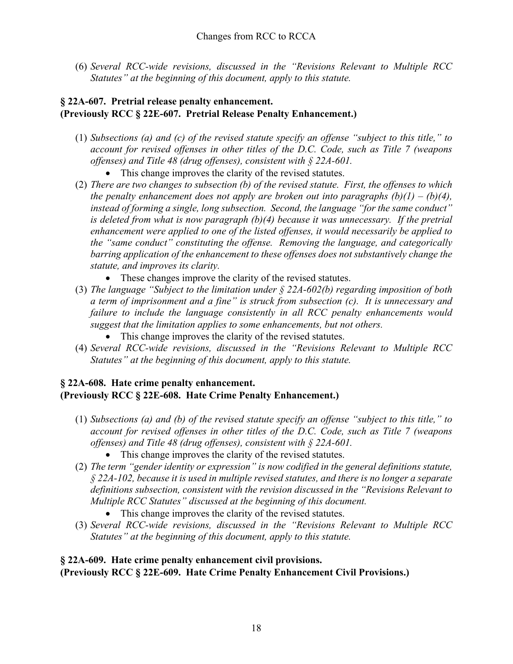(6) *Several RCC-wide revisions, discussed in the "Revisions Relevant to Multiple RCC Statutes" at the beginning of this document, apply to this statute.*

# **§ 22A-607. Pretrial release penalty enhancement. (Previously RCC § 22E-607. Pretrial Release Penalty Enhancement.)**

- (1) *Subsections (a) and (c) of the revised statute specify an offense "subject to this title," to account for revised offenses in other titles of the D.C. Code, such as Title 7 (weapons offenses) and Title 48 (drug offenses), consistent with § 22A-601.* 
	- This change improves the clarity of the revised statutes.
- (2) *There are two changes to subsection (b) of the revised statute. First, the offenses to which the penalty enhancement does not apply are broken out into paragraphs (b)(1) – (b)(4), instead of forming a single, long subsection. Second, the language "for the same conduct" is deleted from what is now paragraph (b)(4) because it was unnecessary. If the pretrial enhancement were applied to one of the listed offenses, it would necessarily be applied to the "same conduct" constituting the offense. Removing the language, and categorically barring application of the enhancement to these offenses does not substantively change the statute, and improves its clarity.* 
	- These changes improve the clarity of the revised statutes.
- (3) *The language "Subject to the limitation under § 22A-602(b) regarding imposition of both a term of imprisonment and a fine" is struck from subsection (c). It is unnecessary and failure to include the language consistently in all RCC penalty enhancements would suggest that the limitation applies to some enhancements, but not others.* 
	- This change improves the clarity of the revised statutes.
- (4) *Several RCC-wide revisions, discussed in the "Revisions Relevant to Multiple RCC Statutes" at the beginning of this document, apply to this statute.*

# **§ 22A-608. Hate crime penalty enhancement. (Previously RCC § 22E-608. Hate Crime Penalty Enhancement.)**

- (1) *Subsections (a) and (b) of the revised statute specify an offense "subject to this title," to account for revised offenses in other titles of the D.C. Code, such as Title 7 (weapons offenses) and Title 48 (drug offenses), consistent with § 22A-601.* 
	- This change improves the clarity of the revised statutes.
- (2) *The term "gender identity or expression" is now codified in the general definitions statute, § 22A-102, because it is used in multiple revised statutes, and there is no longer a separate definitions subsection, consistent with the revision discussed in the "Revisions Relevant to Multiple RCC Statutes" discussed at the beginning of this document.*
	- This change improves the clarity of the revised statutes.
- (3) *Several RCC-wide revisions, discussed in the "Revisions Relevant to Multiple RCC Statutes" at the beginning of this document, apply to this statute.*

# **§ 22A-609. Hate crime penalty enhancement civil provisions.**

**(Previously RCC § 22E-609. Hate Crime Penalty Enhancement Civil Provisions.)**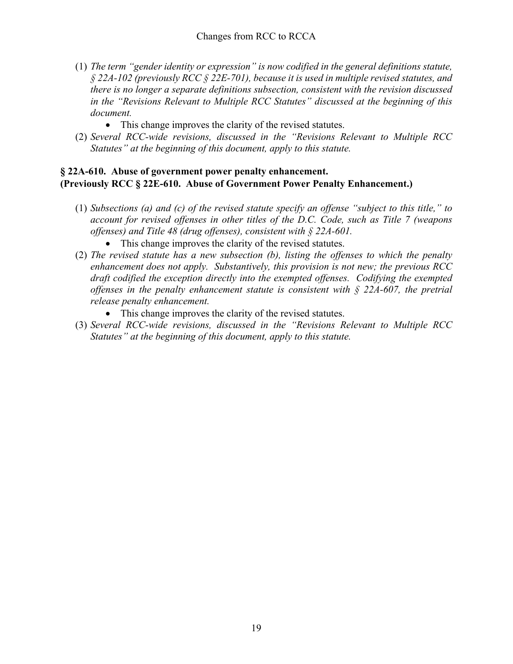- (1) *The term "gender identity or expression" is now codified in the general definitions statute, § 22A-102 (previously RCC § 22E-701), because it is used in multiple revised statutes, and there is no longer a separate definitions subsection, consistent with the revision discussed in the "Revisions Relevant to Multiple RCC Statutes" discussed at the beginning of this document.*
	- This change improves the clarity of the revised statutes.
- (2) *Several RCC-wide revisions, discussed in the "Revisions Relevant to Multiple RCC Statutes" at the beginning of this document, apply to this statute.*

# **§ 22A-610. Abuse of government power penalty enhancement. (Previously RCC § 22E-610. Abuse of Government Power Penalty Enhancement.)**

- (1) *Subsections (a) and (c) of the revised statute specify an offense "subject to this title," to account for revised offenses in other titles of the D.C. Code, such as Title 7 (weapons offenses) and Title 48 (drug offenses), consistent with § 22A-601.* 
	- This change improves the clarity of the revised statutes.
- (2) *The revised statute has a new subsection (b), listing the offenses to which the penalty enhancement does not apply. Substantively, this provision is not new; the previous RCC draft codified the exception directly into the exempted offenses. Codifying the exempted offenses in the penalty enhancement statute is consistent with § 22A-607, the pretrial release penalty enhancement.*
	- This change improves the clarity of the revised statutes.
- (3) *Several RCC-wide revisions, discussed in the "Revisions Relevant to Multiple RCC Statutes" at the beginning of this document, apply to this statute.*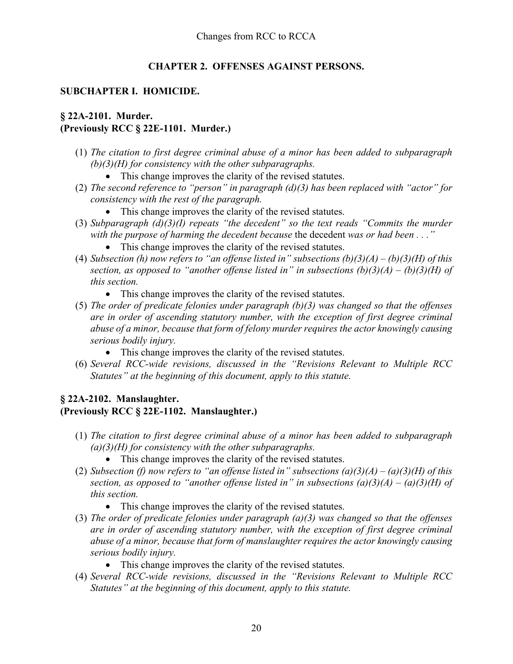# **CHAPTER 2. OFFENSES AGAINST PERSONS.**

### **SUBCHAPTER I. HOMICIDE.**

# **§ 22A-2101. Murder. (Previously RCC § 22E-1101. Murder.)**

- (1) *The citation to first degree criminal abuse of a minor has been added to subparagraph (b)(3)(H) for consistency with the other subparagraphs.*
	- This change improves the clarity of the revised statutes.
- (2) *The second reference to "person" in paragraph (d)(3) has been replaced with "actor" for consistency with the rest of the paragraph.*
	- This change improves the clarity of the revised statutes.
- (3) *Subparagraph (d)(3)(I) repeats "the decedent" so the text reads "Commits the murder with the purpose of harming the decedent because* the decedent *was or had been . . ."*
	- This change improves the clarity of the revised statutes.
- (4) *Subsection (h) now refers to "an offense listed in" subsections (b)(3)(A) – (b)(3)(H) of this section, as opposed to "another offense listed in" in subsections (b)(3)(A) – (b)(3)(H) of this section.* 
	- This change improves the clarity of the revised statutes.
- (5) *The order of predicate felonies under paragraph (b)(3) was changed so that the offenses are in order of ascending statutory number, with the exception of first degree criminal abuse of a minor, because that form of felony murder requires the actor knowingly causing serious bodily injury.* 
	- This change improves the clarity of the revised statutes.
- (6) *Several RCC-wide revisions, discussed in the "Revisions Relevant to Multiple RCC Statutes" at the beginning of this document, apply to this statute.*

### **§ 22A-2102. Manslaughter. (Previously RCC § 22E-1102. Manslaughter.)**

- (1) *The citation to first degree criminal abuse of a minor has been added to subparagraph (a)(3)(H) for consistency with the other subparagraphs.*
	- This change improves the clarity of the revised statutes.
- (2) *Subsection (f) now refers to "an offense listed in" subsections (a)(3)(A) – (a)(3)(H) of this section, as opposed to "another offense listed in" in subsections (a)(3)(A) – (a)(3)(H) of this section.* 
	- This change improves the clarity of the revised statutes.
- (3) *The order of predicate felonies under paragraph (a)(3) was changed so that the offenses are in order of ascending statutory number, with the exception of first degree criminal abuse of a minor, because that form of manslaughter requires the actor knowingly causing serious bodily injury.* 
	- This change improves the clarity of the revised statutes.
- (4) *Several RCC-wide revisions, discussed in the "Revisions Relevant to Multiple RCC Statutes" at the beginning of this document, apply to this statute.*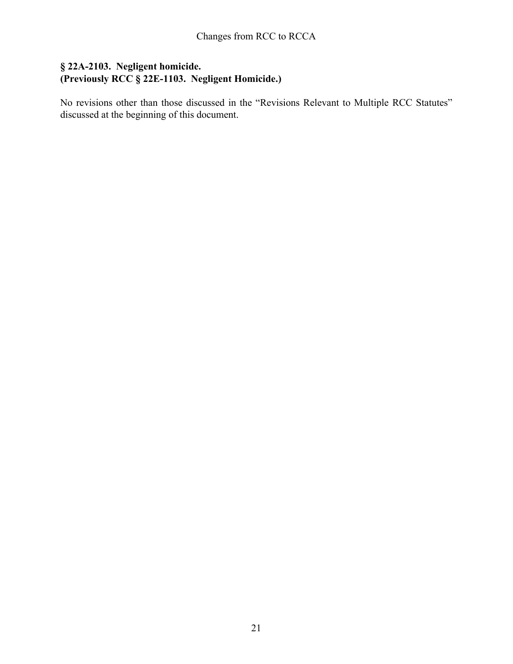# **§ 22A-2103. Negligent homicide. (Previously RCC § 22E-1103. Negligent Homicide.)**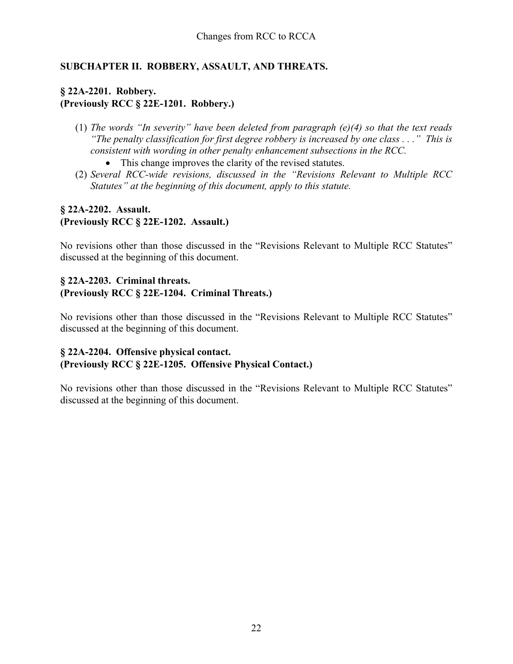# **SUBCHAPTER II. ROBBERY, ASSAULT, AND THREATS.**

# **§ 22A-2201. Robbery. (Previously RCC § 22E-1201. Robbery.)**

- (1) *The words "In severity" have been deleted from paragraph (e)(4) so that the text reads "The penalty classification for first degree robbery is increased by one class . . ." This is consistent with wording in other penalty enhancement subsections in the RCC.*
	- This change improves the clarity of the revised statutes.
- (2) *Several RCC-wide revisions, discussed in the "Revisions Relevant to Multiple RCC Statutes" at the beginning of this document, apply to this statute.*

# **§ 22A-2202. Assault. (Previously RCC § 22E-1202. Assault.)**

No revisions other than those discussed in the "Revisions Relevant to Multiple RCC Statutes" discussed at the beginning of this document.

#### **§ 22A-2203. Criminal threats. (Previously RCC § 22E-1204. Criminal Threats.)**

No revisions other than those discussed in the "Revisions Relevant to Multiple RCC Statutes" discussed at the beginning of this document.

# **§ 22A-2204. Offensive physical contact. (Previously RCC § 22E-1205. Offensive Physical Contact.)**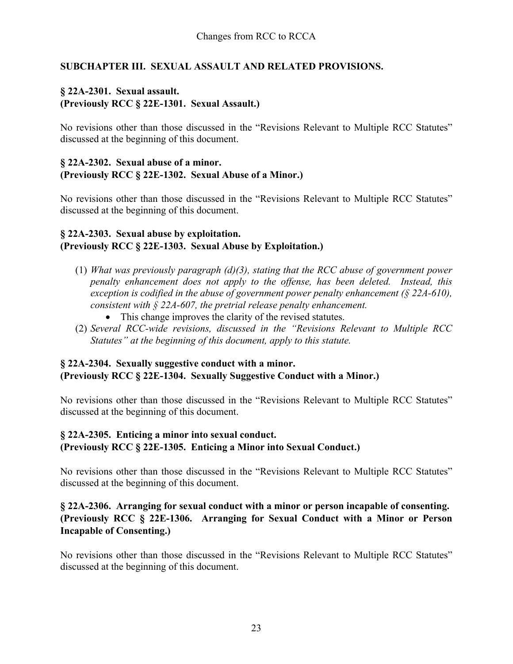# **SUBCHAPTER III. SEXUAL ASSAULT AND RELATED PROVISIONS.**

# **§ 22A-2301. Sexual assault. (Previously RCC § 22E-1301. Sexual Assault.)**

No revisions other than those discussed in the "Revisions Relevant to Multiple RCC Statutes" discussed at the beginning of this document.

#### **§ 22A-2302. Sexual abuse of a minor. (Previously RCC § 22E-1302. Sexual Abuse of a Minor.)**

No revisions other than those discussed in the "Revisions Relevant to Multiple RCC Statutes" discussed at the beginning of this document.

### **§ 22A-2303. Sexual abuse by exploitation. (Previously RCC § 22E-1303. Sexual Abuse by Exploitation.)**

- (1) *What was previously paragraph (d)(3), stating that the RCC abuse of government power penalty enhancement does not apply to the offense, has been deleted. Instead, this exception is codified in the abuse of government power penalty enhancement (§ 22A-610), consistent with § 22A-607, the pretrial release penalty enhancement.*
	- This change improves the clarity of the revised statutes.
- (2) *Several RCC-wide revisions, discussed in the "Revisions Relevant to Multiple RCC Statutes" at the beginning of this document, apply to this statute.*

# **§ 22A-2304. Sexually suggestive conduct with a minor. (Previously RCC § 22E-1304. Sexually Suggestive Conduct with a Minor.)**

No revisions other than those discussed in the "Revisions Relevant to Multiple RCC Statutes" discussed at the beginning of this document.

### **§ 22A-2305. Enticing a minor into sexual conduct. (Previously RCC § 22E-1305. Enticing a Minor into Sexual Conduct.)**

No revisions other than those discussed in the "Revisions Relevant to Multiple RCC Statutes" discussed at the beginning of this document.

# **§ 22A-2306. Arranging for sexual conduct with a minor or person incapable of consenting. (Previously RCC § 22E-1306. Arranging for Sexual Conduct with a Minor or Person Incapable of Consenting.)**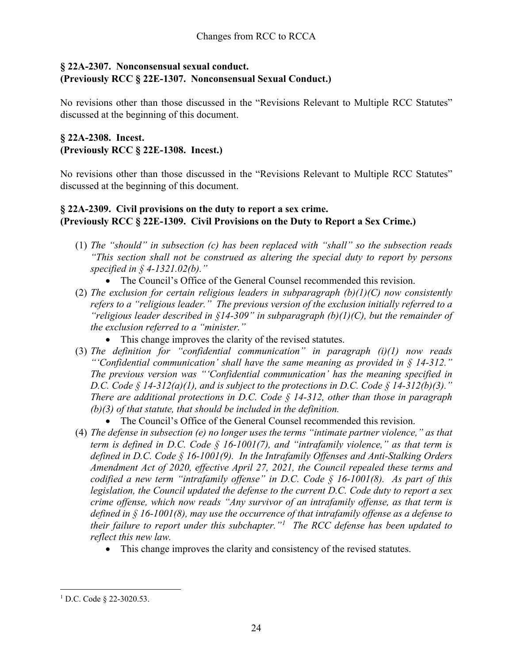# **§ 22A-2307. Nonconsensual sexual conduct. (Previously RCC § 22E-1307. Nonconsensual Sexual Conduct.)**

No revisions other than those discussed in the "Revisions Relevant to Multiple RCC Statutes" discussed at the beginning of this document.

# **§ 22A-2308. Incest. (Previously RCC § 22E-1308. Incest.)**

No revisions other than those discussed in the "Revisions Relevant to Multiple RCC Statutes" discussed at the beginning of this document.

# **§ 22A-2309. Civil provisions on the duty to report a sex crime. (Previously RCC § 22E-1309. Civil Provisions on the Duty to Report a Sex Crime.)**

- (1) *The "should" in subsection (c) has been replaced with "shall" so the subsection reads "This section shall not be construed as altering the special duty to report by persons specified in § 4-1321.02(b)."* 
	- The Council's Office of the General Counsel recommended this revision.
- (2) *The exclusion for certain religious leaders in subparagraph (b)(1)(C) now consistently refers to a "religious leader." The previous version of the exclusion initially referred to a "religious leader described in §14-309" in subparagraph (b)(1)(C), but the remainder of the exclusion referred to a "minister."* 
	- This change improves the clarity of the revised statutes.
- (3) *The definition for "confidential communication" in paragraph (i)(1) now reads "'Confidential communication' shall have the same meaning as provided in § 14-312." The previous version was "'Confidential communication' has the meaning specified in D.C. Code § 14-312(a)(1), and is subject to the protections in D.C. Code § 14-312(b)(3)." There are additional protections in D.C. Code § 14-312, other than those in paragraph (b)(3) of that statute, that should be included in the definition.*
	- The Council's Office of the General Counsel recommended this revision.
- (4) *The defense in subsection (e) no longer uses the terms "intimate partner violence," as that term is defined in D.C. Code § 16-1001(7), and "intrafamily violence," as that term is defined in D.C. Code § 16-1001(9). In the Intrafamily Offenses and Anti-Stalking Orders Amendment Act of 2020, effective April 27, 2021, the Council repealed these terms and codified a new term "intrafamily offense" in D.C. Code § 16-1001(8). As part of this legislation, the Council updated the defense to the current D.C. Code duty to report a sex crime offense, which now reads "Any survivor of an intrafamily offense, as that term is defined in § 16-1001(8), may use the occurrence of that intrafamily offense as a defense to their failure to report under this subchapter."[1](#page-23-0) The RCC defense has been updated to reflect this new law.*
	- This change improves the clarity and consistency of the revised statutes.

<span id="page-23-0"></span><sup>&</sup>lt;sup>1</sup> D.C. Code § 22-3020.53.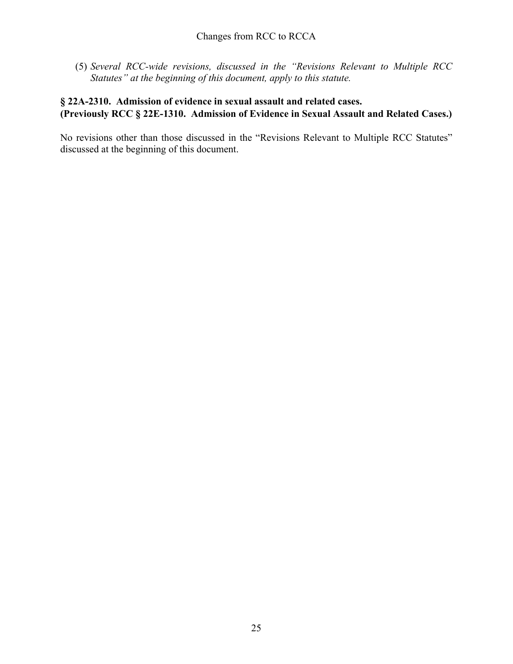(5) *Several RCC-wide revisions, discussed in the "Revisions Relevant to Multiple RCC Statutes" at the beginning of this document, apply to this statute.*

# **§ 22A-2310. Admission of evidence in sexual assault and related cases. (Previously RCC § 22E-1310. Admission of Evidence in Sexual Assault and Related Cases.)**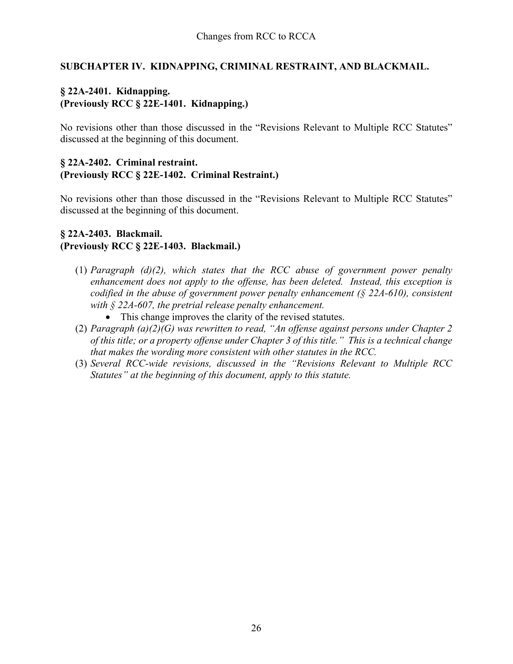# **SUBCHAPTER IV. KIDNAPPING, CRIMINAL RESTRAINT, AND BLACKMAIL.**

# **§ 22A-2401. Kidnapping. (Previously RCC § 22E-1401. Kidnapping.)**

No revisions other than those discussed in the "Revisions Relevant to Multiple RCC Statutes" discussed at the beginning of this document.

#### **§ 22A-2402. Criminal restraint. (Previously RCC § 22E-1402. Criminal Restraint.)**

No revisions other than those discussed in the "Revisions Relevant to Multiple RCC Statutes" discussed at the beginning of this document.

# **§ 22A-2403. Blackmail. (Previously RCC § 22E-1403. Blackmail.)**

- (1) *Paragraph (d)(2), which states that the RCC abuse of government power penalty enhancement does not apply to the offense, has been deleted. Instead, this exception is codified in the abuse of government power penalty enhancement (§ 22A-610), consistent with § 22A-607, the pretrial release penalty enhancement.*
	- This change improves the clarity of the revised statutes.
- (2) *Paragraph (a)(2)(G) was rewritten to read, "An offense against persons under Chapter 2 of this title; or a property offense under Chapter 3 of this title." This is a technical change that makes the wording more consistent with other statutes in the RCC.*
- (3) *Several RCC-wide revisions, discussed in the "Revisions Relevant to Multiple RCC Statutes" at the beginning of this document, apply to this statute.*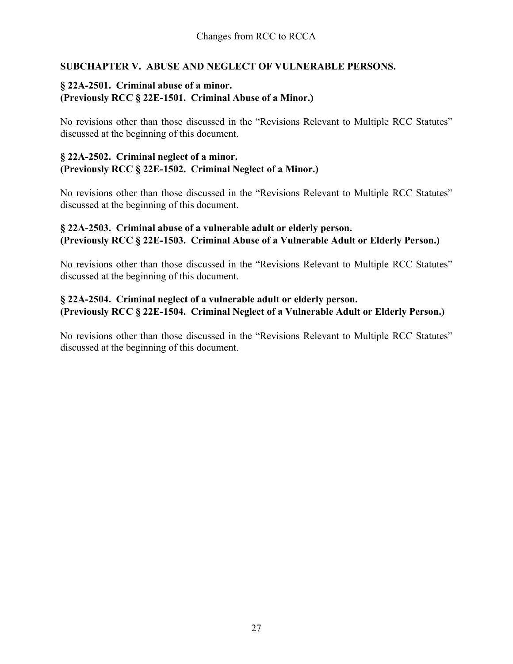# **SUBCHAPTER V. ABUSE AND NEGLECT OF VULNERABLE PERSONS.**

# **§ 22A-2501. Criminal abuse of a minor. (Previously RCC § 22E-1501. Criminal Abuse of a Minor.)**

No revisions other than those discussed in the "Revisions Relevant to Multiple RCC Statutes" discussed at the beginning of this document.

### **§ 22A-2502. Criminal neglect of a minor. (Previously RCC § 22E-1502. Criminal Neglect of a Minor.)**

No revisions other than those discussed in the "Revisions Relevant to Multiple RCC Statutes" discussed at the beginning of this document.

# **§ 22A-2503. Criminal abuse of a vulnerable adult or elderly person. (Previously RCC § 22E-1503. Criminal Abuse of a Vulnerable Adult or Elderly Person.)**

No revisions other than those discussed in the "Revisions Relevant to Multiple RCC Statutes" discussed at the beginning of this document.

# **§ 22A-2504. Criminal neglect of a vulnerable adult or elderly person. (Previously RCC § 22E-1504. Criminal Neglect of a Vulnerable Adult or Elderly Person.)**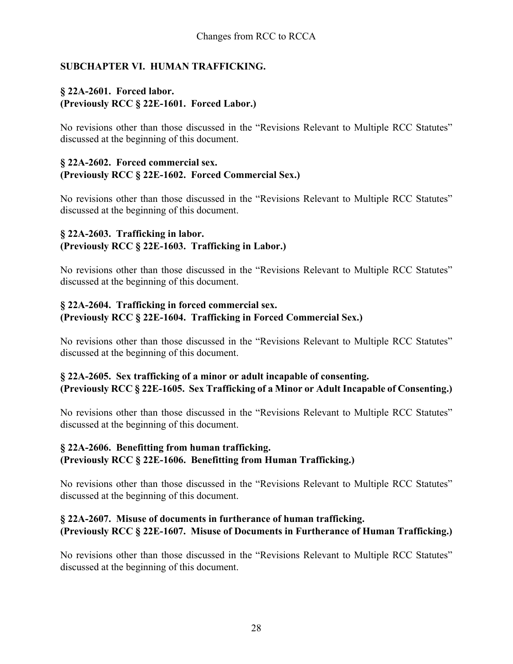# **SUBCHAPTER VI. HUMAN TRAFFICKING.**

# **§ 22A-2601. Forced labor. (Previously RCC § 22E-1601. Forced Labor.)**

No revisions other than those discussed in the "Revisions Relevant to Multiple RCC Statutes" discussed at the beginning of this document.

#### **§ 22A-2602. Forced commercial sex. (Previously RCC § 22E-1602. Forced Commercial Sex.)**

No revisions other than those discussed in the "Revisions Relevant to Multiple RCC Statutes" discussed at the beginning of this document.

# **§ 22A-2603. Trafficking in labor. (Previously RCC § 22E-1603. Trafficking in Labor.)**

No revisions other than those discussed in the "Revisions Relevant to Multiple RCC Statutes" discussed at the beginning of this document.

### **§ 22A-2604. Trafficking in forced commercial sex. (Previously RCC § 22E-1604. Trafficking in Forced Commercial Sex.)**

No revisions other than those discussed in the "Revisions Relevant to Multiple RCC Statutes" discussed at the beginning of this document.

# **§ 22A-2605. Sex trafficking of a minor or adult incapable of consenting. (Previously RCC § 22E-1605. Sex Trafficking of a Minor or Adult Incapable of Consenting.)**

No revisions other than those discussed in the "Revisions Relevant to Multiple RCC Statutes" discussed at the beginning of this document.

# **§ 22A-2606. Benefitting from human trafficking. (Previously RCC § 22E-1606. Benefitting from Human Trafficking.)**

No revisions other than those discussed in the "Revisions Relevant to Multiple RCC Statutes" discussed at the beginning of this document.

# **§ 22A-2607. Misuse of documents in furtherance of human trafficking. (Previously RCC § 22E-1607. Misuse of Documents in Furtherance of Human Trafficking.)**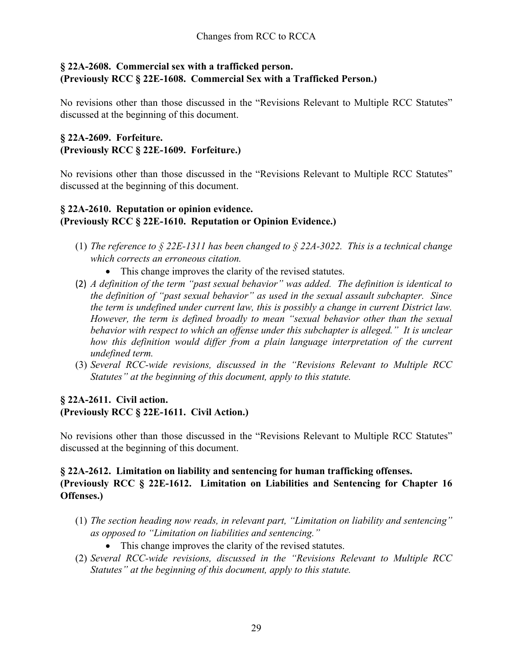# **§ 22A-2608. Commercial sex with a trafficked person. (Previously RCC § 22E-1608. Commercial Sex with a Trafficked Person.)**

No revisions other than those discussed in the "Revisions Relevant to Multiple RCC Statutes" discussed at the beginning of this document.

# **§ 22A-2609. Forfeiture. (Previously RCC § 22E-1609. Forfeiture.)**

No revisions other than those discussed in the "Revisions Relevant to Multiple RCC Statutes" discussed at the beginning of this document.

# **§ 22A-2610. Reputation or opinion evidence. (Previously RCC § 22E-1610. Reputation or Opinion Evidence.)**

- (1) *The reference to § 22E-1311 has been changed to § 22A-3022. This is a technical change which corrects an erroneous citation.* 
	- This change improves the clarity of the revised statutes.
- (2) *A definition of the term "past sexual behavior" was added. The definition is identical to the definition of "past sexual behavior" as used in the sexual assault subchapter. Since the term is undefined under current law, this is possibly a change in current District law. However, the term is defined broadly to mean "sexual behavior other than the sexual behavior with respect to which an offense under this subchapter is alleged." It is unclear how this definition would differ from a plain language interpretation of the current undefined term.*
- (3) *Several RCC-wide revisions, discussed in the "Revisions Relevant to Multiple RCC Statutes" at the beginning of this document, apply to this statute.*

# **§ 22A-2611. Civil action. (Previously RCC § 22E-1611. Civil Action.)**

No revisions other than those discussed in the "Revisions Relevant to Multiple RCC Statutes" discussed at the beginning of this document.

### **§ 22A-2612. Limitation on liability and sentencing for human trafficking offenses. (Previously RCC § 22E-1612. Limitation on Liabilities and Sentencing for Chapter 16 Offenses.)**

- (1) *The section heading now reads, in relevant part, "Limitation on liability and sentencing" as opposed to "Limitation on liabilities and sentencing."* 
	- This change improves the clarity of the revised statutes.
- (2) *Several RCC-wide revisions, discussed in the "Revisions Relevant to Multiple RCC Statutes" at the beginning of this document, apply to this statute.*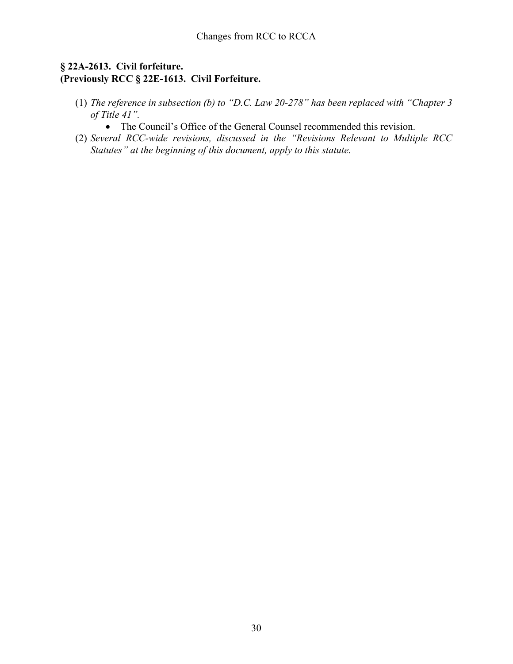### **§ 22A-2613. Civil forfeiture. (Previously RCC § 22E-1613. Civil Forfeiture.**

- (1) *The reference in subsection (b) to "D.C. Law 20-278" has been replaced with "Chapter 3 of Title 41".*
	- The Council's Office of the General Counsel recommended this revision.
- (2) *Several RCC-wide revisions, discussed in the "Revisions Relevant to Multiple RCC Statutes" at the beginning of this document, apply to this statute.*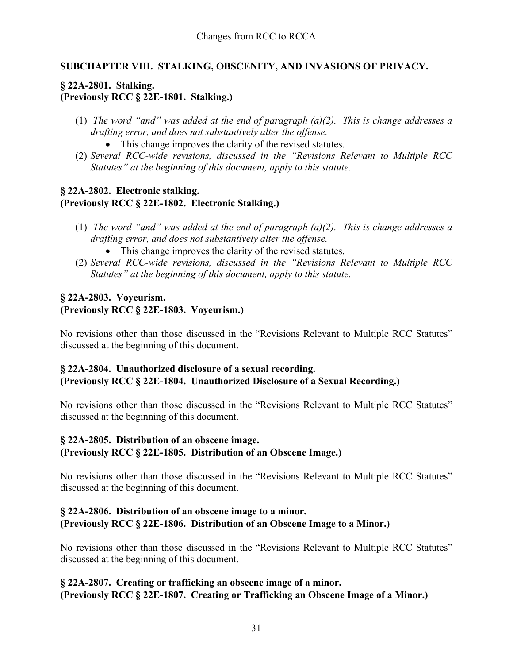# **SUBCHAPTER VIII. STALKING, OBSCENITY, AND INVASIONS OF PRIVACY.**

# **§ 22A-2801. Stalking. (Previously RCC § 22E-1801. Stalking.)**

- (1) *The word "and" was added at the end of paragraph (a)(2). This is change addresses a drafting error, and does not substantively alter the offense.* 
	- This change improves the clarity of the revised statutes.
- (2) *Several RCC-wide revisions, discussed in the "Revisions Relevant to Multiple RCC Statutes" at the beginning of this document, apply to this statute.*

### **§ 22A-2802. Electronic stalking. (Previously RCC § 22E-1802. Electronic Stalking.)**

- (1) *The word "and" was added at the end of paragraph (a)(2). This is change addresses a drafting error, and does not substantively alter the offense.* 
	- This change improves the clarity of the revised statutes.
- (2) *Several RCC-wide revisions, discussed in the "Revisions Relevant to Multiple RCC Statutes" at the beginning of this document, apply to this statute.*

# **§ 22A-2803. Voyeurism. (Previously RCC § 22E-1803. Voyeurism.)**

No revisions other than those discussed in the "Revisions Relevant to Multiple RCC Statutes" discussed at the beginning of this document.

# **§ 22A-2804. Unauthorized disclosure of a sexual recording. (Previously RCC § 22E-1804. Unauthorized Disclosure of a Sexual Recording.)**

No revisions other than those discussed in the "Revisions Relevant to Multiple RCC Statutes" discussed at the beginning of this document.

# **§ 22A-2805. Distribution of an obscene image. (Previously RCC § 22E-1805. Distribution of an Obscene Image.)**

No revisions other than those discussed in the "Revisions Relevant to Multiple RCC Statutes" discussed at the beginning of this document.

### **§ 22A-2806. Distribution of an obscene image to a minor. (Previously RCC § 22E-1806. Distribution of an Obscene Image to a Minor.)**

No revisions other than those discussed in the "Revisions Relevant to Multiple RCC Statutes" discussed at the beginning of this document.

**§ 22A-2807. Creating or trafficking an obscene image of a minor. (Previously RCC § 22E-1807. Creating or Trafficking an Obscene Image of a Minor.)**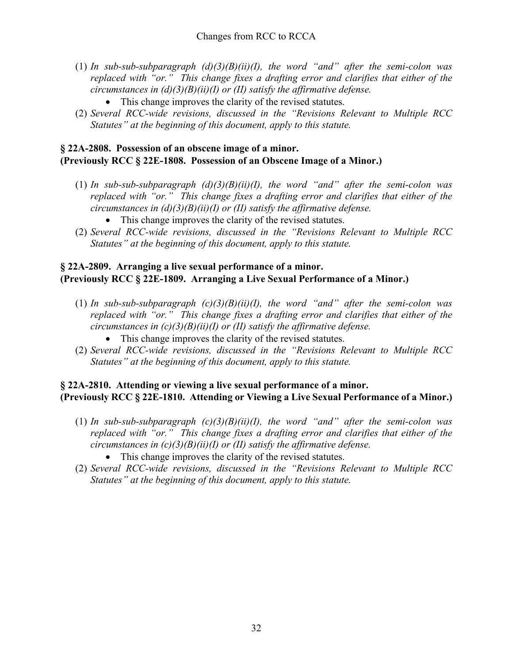- (1) *In sub-sub-subparagraph (d)(3)(B)(ii)(I), the word "and" after the semi-colon was replaced with "or." This change fixes a drafting error and clarifies that either of the circumstances in (d)(3)(B)(ii)(I) or (II) satisfy the affirmative defense.* 
	- This change improves the clarity of the revised statutes.
- (2) *Several RCC-wide revisions, discussed in the "Revisions Relevant to Multiple RCC Statutes" at the beginning of this document, apply to this statute.*

# **§ 22A-2808. Possession of an obscene image of a minor. (Previously RCC § 22E-1808. Possession of an Obscene Image of a Minor.)**

- (1) *In sub-sub-subparagraph (d)(3)(B)(ii)(I), the word "and" after the semi-colon was replaced with "or." This change fixes a drafting error and clarifies that either of the circumstances in (d)(3)(B)(ii)(I) or (II) satisfy the affirmative defense.* 
	- This change improves the clarity of the revised statutes.
- (2) *Several RCC-wide revisions, discussed in the "Revisions Relevant to Multiple RCC Statutes" at the beginning of this document, apply to this statute.*

# **§ 22A-2809. Arranging a live sexual performance of a minor. (Previously RCC § 22E-1809. Arranging a Live Sexual Performance of a Minor.)**

- (1) *In sub-sub-subparagraph (c)(3)(B)(ii)(I), the word "and" after the semi-colon was replaced with "or." This change fixes a drafting error and clarifies that either of the circumstances in (c)(3)(B)(ii)(I) or (II) satisfy the affirmative defense.* 
	- This change improves the clarity of the revised statutes.
- (2) *Several RCC-wide revisions, discussed in the "Revisions Relevant to Multiple RCC Statutes" at the beginning of this document, apply to this statute.*

# **§ 22A-2810. Attending or viewing a live sexual performance of a minor. (Previously RCC § 22E-1810. Attending or Viewing a Live Sexual Performance of a Minor.)**

- (1) *In sub-sub-subparagraph*  $(c)(3)(B)(ii)(I)$ , the word "and" after the semi-colon was *replaced with "or." This change fixes a drafting error and clarifies that either of the circumstances in (c)(3)(B)(ii)(I) or (II) satisfy the affirmative defense.* 
	- This change improves the clarity of the revised statutes.
- (2) *Several RCC-wide revisions, discussed in the "Revisions Relevant to Multiple RCC Statutes" at the beginning of this document, apply to this statute.*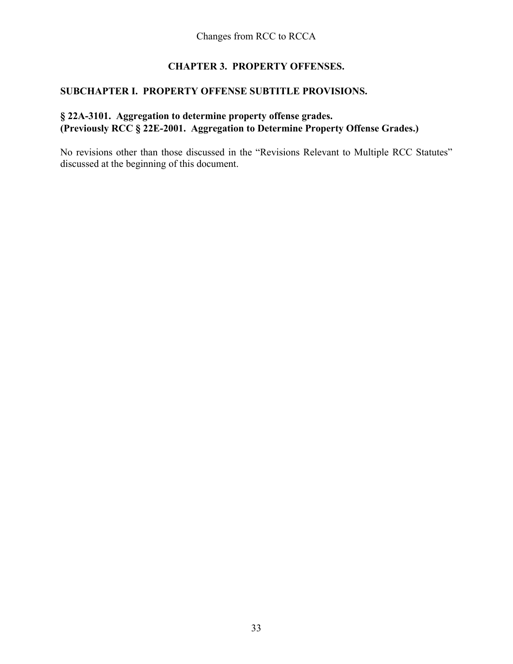# **CHAPTER 3. PROPERTY OFFENSES.**

# **SUBCHAPTER I. PROPERTY OFFENSE SUBTITLE PROVISIONS.**

# **§ 22A-3101. Aggregation to determine property offense grades. (Previously RCC § 22E-2001. Aggregation to Determine Property Offense Grades.)**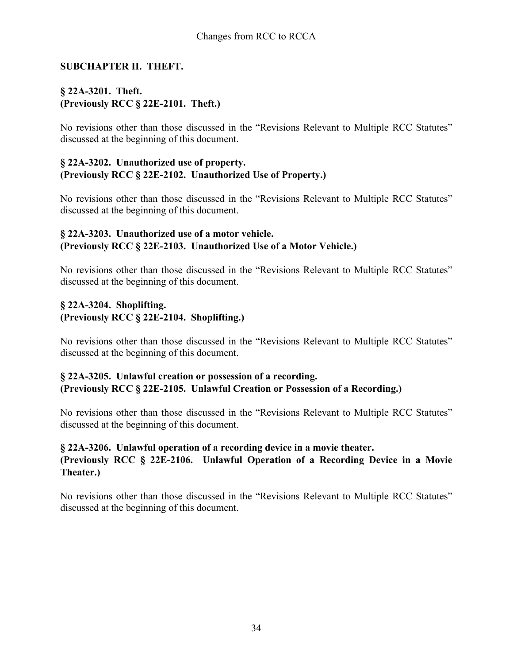### **SUBCHAPTER II. THEFT.**

# **§ 22A-3201. Theft. (Previously RCC § 22E-2101. Theft.)**

No revisions other than those discussed in the "Revisions Relevant to Multiple RCC Statutes" discussed at the beginning of this document.

#### **§ 22A-3202. Unauthorized use of property. (Previously RCC § 22E-2102. Unauthorized Use of Property.)**

No revisions other than those discussed in the "Revisions Relevant to Multiple RCC Statutes" discussed at the beginning of this document.

### **§ 22A-3203. Unauthorized use of a motor vehicle. (Previously RCC § 22E-2103. Unauthorized Use of a Motor Vehicle.)**

No revisions other than those discussed in the "Revisions Relevant to Multiple RCC Statutes" discussed at the beginning of this document.

# **§ 22A-3204. Shoplifting. (Previously RCC § 22E-2104. Shoplifting.)**

No revisions other than those discussed in the "Revisions Relevant to Multiple RCC Statutes" discussed at the beginning of this document.

#### **§ 22A-3205. Unlawful creation or possession of a recording. (Previously RCC § 22E-2105. Unlawful Creation or Possession of a Recording.)**

No revisions other than those discussed in the "Revisions Relevant to Multiple RCC Statutes" discussed at the beginning of this document.

### **§ 22A-3206. Unlawful operation of a recording device in a movie theater. (Previously RCC § 22E-2106. Unlawful Operation of a Recording Device in a Movie Theater.)**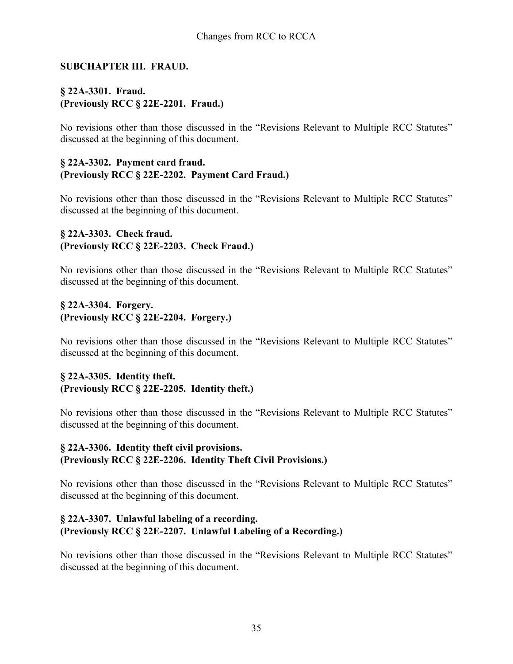### **SUBCHAPTER III. FRAUD.**

# **§ 22A-3301. Fraud. (Previously RCC § 22E-2201. Fraud.)**

No revisions other than those discussed in the "Revisions Relevant to Multiple RCC Statutes" discussed at the beginning of this document.

#### **§ 22A-3302. Payment card fraud. (Previously RCC § 22E-2202. Payment Card Fraud.)**

No revisions other than those discussed in the "Revisions Relevant to Multiple RCC Statutes" discussed at the beginning of this document.

### **§ 22A-3303. Check fraud. (Previously RCC § 22E-2203. Check Fraud.)**

No revisions other than those discussed in the "Revisions Relevant to Multiple RCC Statutes" discussed at the beginning of this document.

# **§ 22A-3304. Forgery. (Previously RCC § 22E-2204. Forgery.)**

No revisions other than those discussed in the "Revisions Relevant to Multiple RCC Statutes" discussed at the beginning of this document.

### **§ 22A-3305. Identity theft. (Previously RCC § 22E-2205. Identity theft.)**

No revisions other than those discussed in the "Revisions Relevant to Multiple RCC Statutes" discussed at the beginning of this document.

# **§ 22A-3306. Identity theft civil provisions. (Previously RCC § 22E-2206. Identity Theft Civil Provisions.)**

No revisions other than those discussed in the "Revisions Relevant to Multiple RCC Statutes" discussed at the beginning of this document.

### **§ 22A-3307. Unlawful labeling of a recording. (Previously RCC § 22E-2207. Unlawful Labeling of a Recording.)**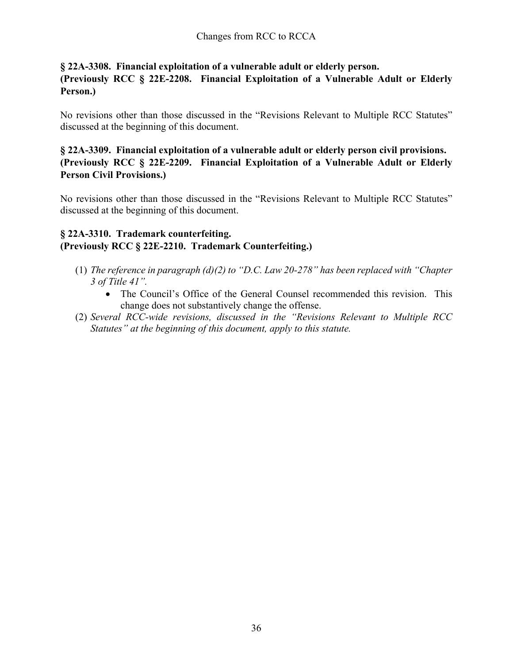### **§ 22A-3308. Financial exploitation of a vulnerable adult or elderly person.**

**(Previously RCC § 22E-2208. Financial Exploitation of a Vulnerable Adult or Elderly Person.)**

No revisions other than those discussed in the "Revisions Relevant to Multiple RCC Statutes" discussed at the beginning of this document.

# **§ 22A-3309. Financial exploitation of a vulnerable adult or elderly person civil provisions. (Previously RCC § 22E-2209. Financial Exploitation of a Vulnerable Adult or Elderly Person Civil Provisions.)**

No revisions other than those discussed in the "Revisions Relevant to Multiple RCC Statutes" discussed at the beginning of this document.

### **§ 22A-3310. Trademark counterfeiting. (Previously RCC § 22E-2210. Trademark Counterfeiting.)**

- (1) *The reference in paragraph (d)(2) to "D.C. Law 20-278" has been replaced with "Chapter 3 of Title 41".*
	- The Council's Office of the General Counsel recommended this revision. This change does not substantively change the offense.
- (2) *Several RCC-wide revisions, discussed in the "Revisions Relevant to Multiple RCC Statutes" at the beginning of this document, apply to this statute.*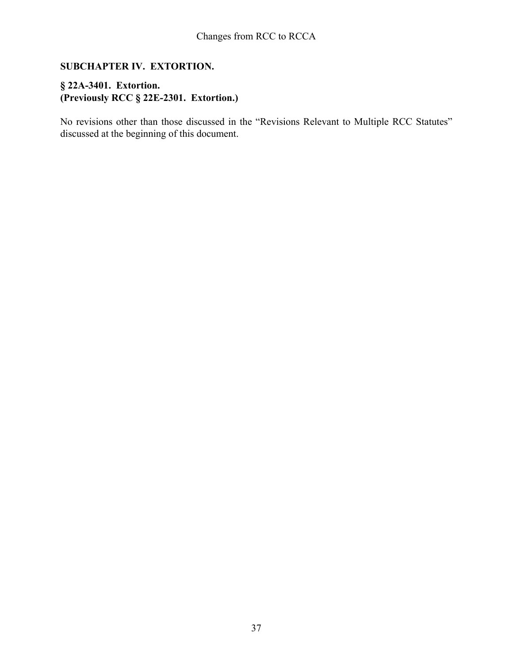# **SUBCHAPTER IV. EXTORTION.**

# **§ 22A-3401. Extortion. (Previously RCC § 22E-2301. Extortion.)**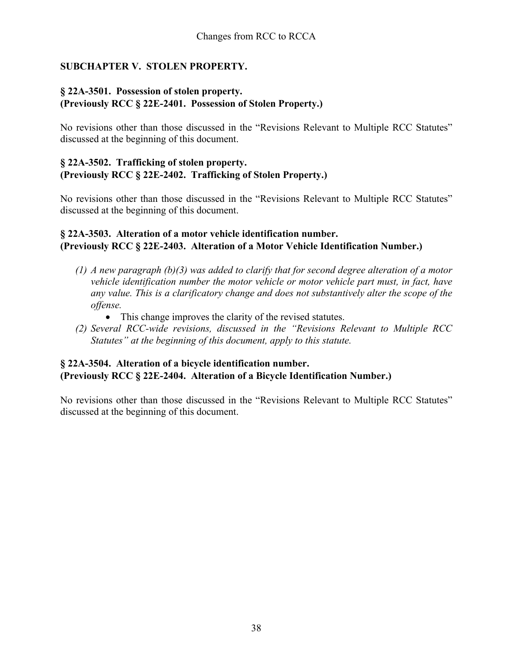# **SUBCHAPTER V. STOLEN PROPERTY.**

### **§ 22A-3501. Possession of stolen property. (Previously RCC § 22E-2401. Possession of Stolen Property.)**

No revisions other than those discussed in the "Revisions Relevant to Multiple RCC Statutes" discussed at the beginning of this document.

### **§ 22A-3502. Trafficking of stolen property. (Previously RCC § 22E-2402. Trafficking of Stolen Property.)**

No revisions other than those discussed in the "Revisions Relevant to Multiple RCC Statutes" discussed at the beginning of this document.

### **§ 22A-3503. Alteration of a motor vehicle identification number. (Previously RCC § 22E-2403. Alteration of a Motor Vehicle Identification Number.)**

- *(1) A new paragraph (b)(3) was added to clarify that for second degree alteration of a motor vehicle identification number the motor vehicle or motor vehicle part must, in fact, have any value. This is a clarificatory change and does not substantively alter the scope of the offense.* 
	- This change improves the clarity of the revised statutes.
- *(2) Several RCC-wide revisions, discussed in the "Revisions Relevant to Multiple RCC Statutes" at the beginning of this document, apply to this statute.*

# **§ 22A-3504. Alteration of a bicycle identification number. (Previously RCC § 22E-2404. Alteration of a Bicycle Identification Number.)**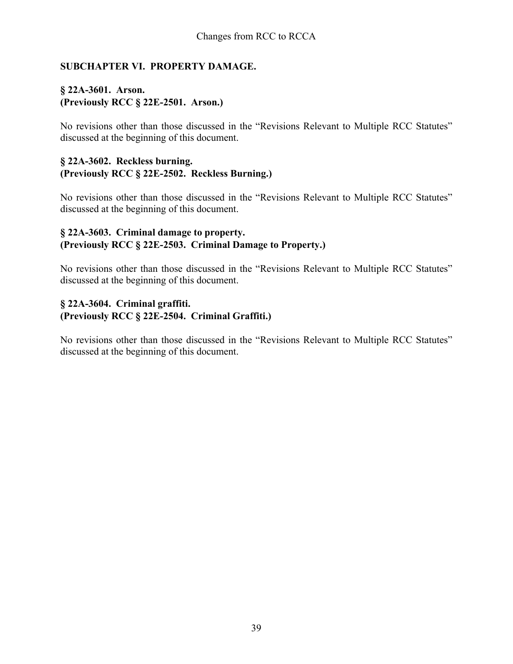### **SUBCHAPTER VI. PROPERTY DAMAGE.**

# **§ 22A-3601. Arson. (Previously RCC § 22E-2501. Arson.)**

No revisions other than those discussed in the "Revisions Relevant to Multiple RCC Statutes" discussed at the beginning of this document.

#### **§ 22A-3602. Reckless burning. (Previously RCC § 22E-2502. Reckless Burning.)**

No revisions other than those discussed in the "Revisions Relevant to Multiple RCC Statutes" discussed at the beginning of this document.

#### **§ 22A-3603. Criminal damage to property. (Previously RCC § 22E-2503. Criminal Damage to Property.)**

No revisions other than those discussed in the "Revisions Relevant to Multiple RCC Statutes" discussed at the beginning of this document.

# **§ 22A-3604. Criminal graffiti. (Previously RCC § 22E-2504. Criminal Graffiti.)**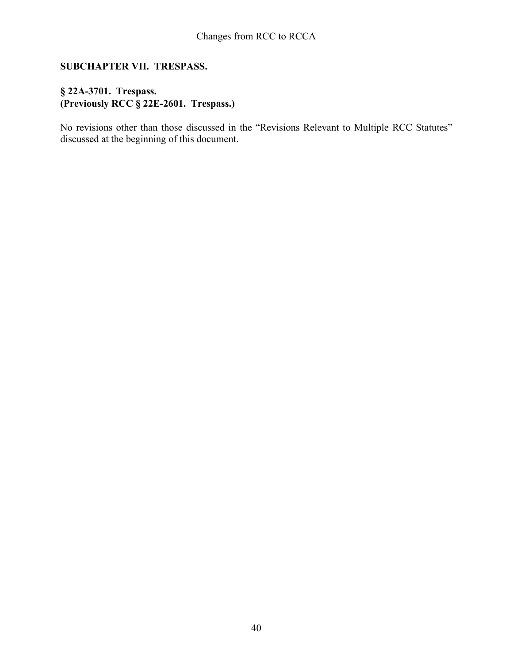# **SUBCHAPTER VII. TRESPASS.**

# **§ 22A-3701. Trespass. (Previously RCC § 22E-2601. Trespass.)**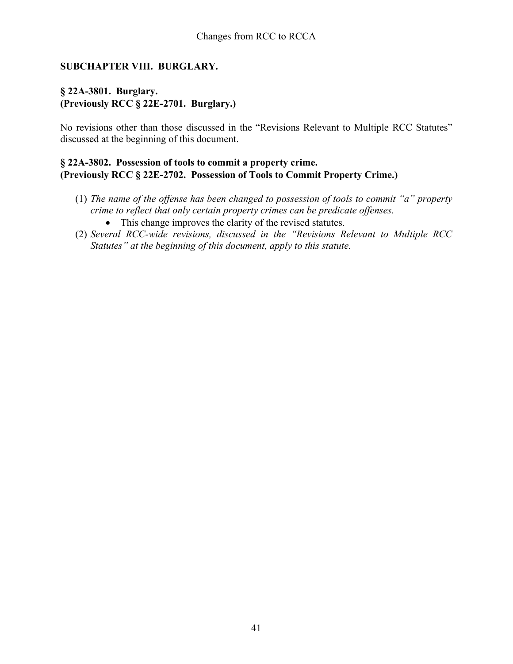### **SUBCHAPTER VIII. BURGLARY.**

# **§ 22A-3801. Burglary. (Previously RCC § 22E-2701. Burglary.)**

No revisions other than those discussed in the "Revisions Relevant to Multiple RCC Statutes" discussed at the beginning of this document.

### **§ 22A-3802. Possession of tools to commit a property crime. (Previously RCC § 22E-2702. Possession of Tools to Commit Property Crime.)**

- (1) *The name of the offense has been changed to possession of tools to commit "a" property crime to reflect that only certain property crimes can be predicate offenses.* 
	- This change improves the clarity of the revised statutes.
- (2) *Several RCC-wide revisions, discussed in the "Revisions Relevant to Multiple RCC Statutes" at the beginning of this document, apply to this statute.*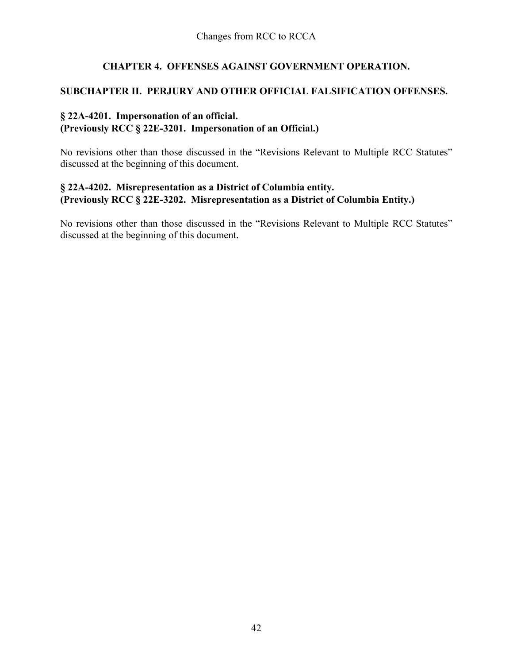# **CHAPTER 4. OFFENSES AGAINST GOVERNMENT OPERATION.**

### **SUBCHAPTER II. PERJURY AND OTHER OFFICIAL FALSIFICATION OFFENSES.**

### **§ 22A-4201. Impersonation of an official. (Previously RCC § 22E-3201. Impersonation of an Official.)**

No revisions other than those discussed in the "Revisions Relevant to Multiple RCC Statutes" discussed at the beginning of this document.

### **§ 22A-4202. Misrepresentation as a District of Columbia entity. (Previously RCC § 22E-3202. Misrepresentation as a District of Columbia Entity.)**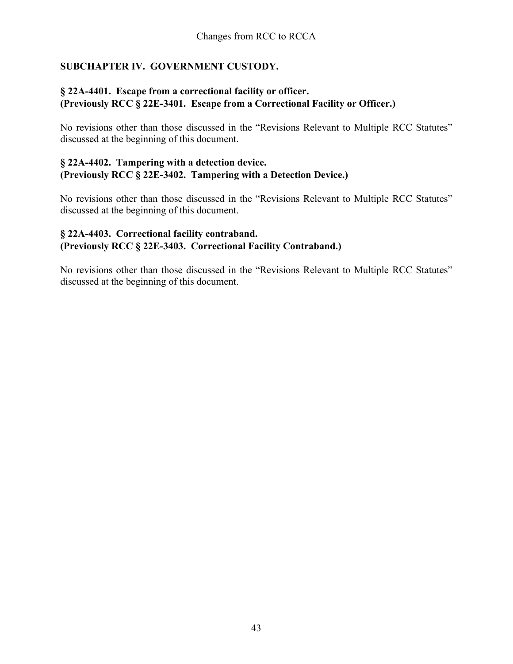# **SUBCHAPTER IV. GOVERNMENT CUSTODY.**

### **§ 22A-4401. Escape from a correctional facility or officer. (Previously RCC § 22E-3401. Escape from a Correctional Facility or Officer.)**

No revisions other than those discussed in the "Revisions Relevant to Multiple RCC Statutes" discussed at the beginning of this document.

#### **§ 22A-4402. Tampering with a detection device. (Previously RCC § 22E-3402. Tampering with a Detection Device.)**

No revisions other than those discussed in the "Revisions Relevant to Multiple RCC Statutes" discussed at the beginning of this document.

# **§ 22A-4403. Correctional facility contraband. (Previously RCC § 22E-3403. Correctional Facility Contraband.)**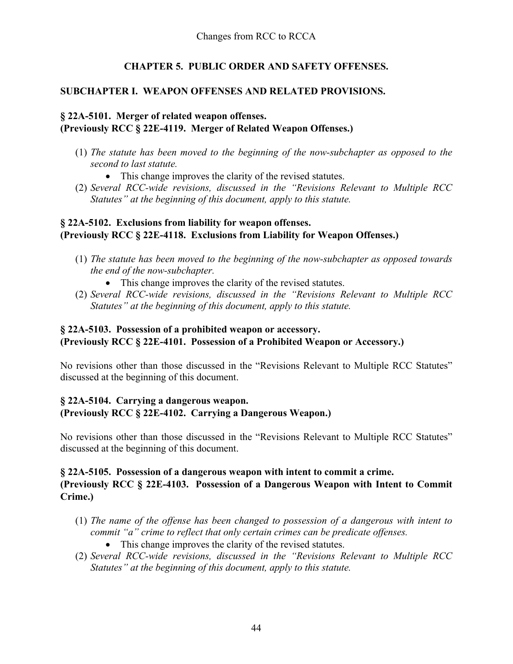# **CHAPTER 5. PUBLIC ORDER AND SAFETY OFFENSES.**

# **SUBCHAPTER I. WEAPON OFFENSES AND RELATED PROVISIONS.**

# **§ 22A-5101. Merger of related weapon offenses. (Previously RCC § 22E-4119. Merger of Related Weapon Offenses.)**

- (1) *The statute has been moved to the beginning of the now-subchapter as opposed to the second to last statute.* 
	- This change improves the clarity of the revised statutes.
- (2) *Several RCC-wide revisions, discussed in the "Revisions Relevant to Multiple RCC Statutes" at the beginning of this document, apply to this statute.*

# **§ 22A-5102. Exclusions from liability for weapon offenses. (Previously RCC § 22E-4118. Exclusions from Liability for Weapon Offenses.)**

- (1) *The statute has been moved to the beginning of the now-subchapter as opposed towards the end of the now-subchapter.* 
	- This change improves the clarity of the revised statutes.
- (2) *Several RCC-wide revisions, discussed in the "Revisions Relevant to Multiple RCC Statutes" at the beginning of this document, apply to this statute.*

# **§ 22A-5103. Possession of a prohibited weapon or accessory. (Previously RCC § 22E-4101. Possession of a Prohibited Weapon or Accessory.)**

No revisions other than those discussed in the "Revisions Relevant to Multiple RCC Statutes" discussed at the beginning of this document.

# **§ 22A-5104. Carrying a dangerous weapon. (Previously RCC § 22E-4102. Carrying a Dangerous Weapon.)**

No revisions other than those discussed in the "Revisions Relevant to Multiple RCC Statutes" discussed at the beginning of this document.

### **§ 22A-5105. Possession of a dangerous weapon with intent to commit a crime. (Previously RCC § 22E-4103. Possession of a Dangerous Weapon with Intent to Commit Crime.)**

- (1) *The name of the offense has been changed to possession of a dangerous with intent to commit "a" crime to reflect that only certain crimes can be predicate offenses.* 
	- This change improves the clarity of the revised statutes.
- (2) *Several RCC-wide revisions, discussed in the "Revisions Relevant to Multiple RCC Statutes" at the beginning of this document, apply to this statute.*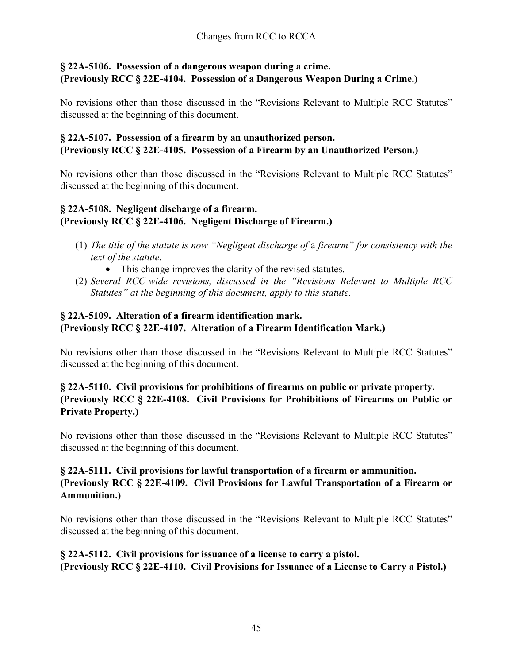# **§ 22A-5106. Possession of a dangerous weapon during a crime. (Previously RCC § 22E-4104. Possession of a Dangerous Weapon During a Crime.)**

No revisions other than those discussed in the "Revisions Relevant to Multiple RCC Statutes" discussed at the beginning of this document.

# **§ 22A-5107. Possession of a firearm by an unauthorized person. (Previously RCC § 22E-4105. Possession of a Firearm by an Unauthorized Person.)**

No revisions other than those discussed in the "Revisions Relevant to Multiple RCC Statutes" discussed at the beginning of this document.

# **§ 22A-5108. Negligent discharge of a firearm. (Previously RCC § 22E-4106. Negligent Discharge of Firearm.)**

- (1) *The title of the statute is now "Negligent discharge of* a *firearm" for consistency with the text of the statute.*
	- This change improves the clarity of the revised statutes.
- (2) *Several RCC-wide revisions, discussed in the "Revisions Relevant to Multiple RCC Statutes" at the beginning of this document, apply to this statute.*

# **§ 22A-5109. Alteration of a firearm identification mark. (Previously RCC § 22E-4107. Alteration of a Firearm Identification Mark.)**

No revisions other than those discussed in the "Revisions Relevant to Multiple RCC Statutes" discussed at the beginning of this document.

# **§ 22A-5110. Civil provisions for prohibitions of firearms on public or private property. (Previously RCC § 22E-4108. Civil Provisions for Prohibitions of Firearms on Public or Private Property.)**

No revisions other than those discussed in the "Revisions Relevant to Multiple RCC Statutes" discussed at the beginning of this document.

# **§ 22A-5111. Civil provisions for lawful transportation of a firearm or ammunition. (Previously RCC § 22E-4109. Civil Provisions for Lawful Transportation of a Firearm or Ammunition.)**

No revisions other than those discussed in the "Revisions Relevant to Multiple RCC Statutes" discussed at the beginning of this document.

### **§ 22A-5112. Civil provisions for issuance of a license to carry a pistol. (Previously RCC § 22E-4110. Civil Provisions for Issuance of a License to Carry a Pistol.)**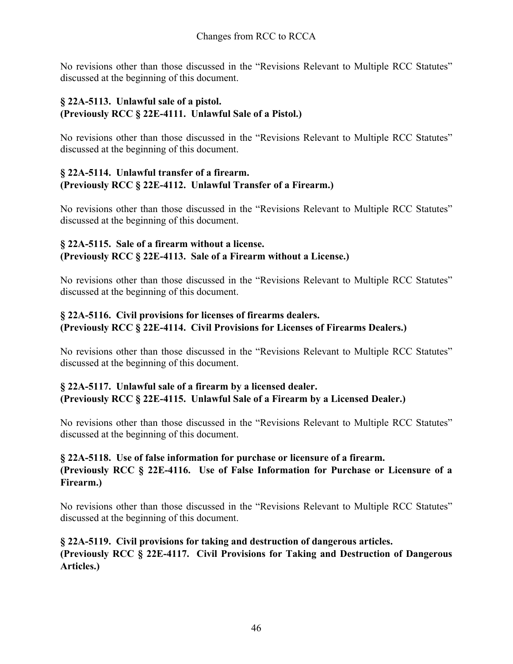No revisions other than those discussed in the "Revisions Relevant to Multiple RCC Statutes" discussed at the beginning of this document.

# **§ 22A-5113. Unlawful sale of a pistol. (Previously RCC § 22E-4111. Unlawful Sale of a Pistol.)**

No revisions other than those discussed in the "Revisions Relevant to Multiple RCC Statutes" discussed at the beginning of this document.

# **§ 22A-5114. Unlawful transfer of a firearm. (Previously RCC § 22E-4112. Unlawful Transfer of a Firearm.)**

No revisions other than those discussed in the "Revisions Relevant to Multiple RCC Statutes" discussed at the beginning of this document.

# **§ 22A-5115. Sale of a firearm without a license. (Previously RCC § 22E-4113. Sale of a Firearm without a License.)**

No revisions other than those discussed in the "Revisions Relevant to Multiple RCC Statutes" discussed at the beginning of this document.

# **§ 22A-5116. Civil provisions for licenses of firearms dealers. (Previously RCC § 22E-4114. Civil Provisions for Licenses of Firearms Dealers.)**

No revisions other than those discussed in the "Revisions Relevant to Multiple RCC Statutes" discussed at the beginning of this document.

# **§ 22A-5117. Unlawful sale of a firearm by a licensed dealer. (Previously RCC § 22E-4115. Unlawful Sale of a Firearm by a Licensed Dealer.)**

No revisions other than those discussed in the "Revisions Relevant to Multiple RCC Statutes" discussed at the beginning of this document.

# **§ 22A-5118. Use of false information for purchase or licensure of a firearm. (Previously RCC § 22E-4116. Use of False Information for Purchase or Licensure of a Firearm.)**

No revisions other than those discussed in the "Revisions Relevant to Multiple RCC Statutes" discussed at the beginning of this document.

# **§ 22A-5119. Civil provisions for taking and destruction of dangerous articles. (Previously RCC § 22E-4117. Civil Provisions for Taking and Destruction of Dangerous Articles.)**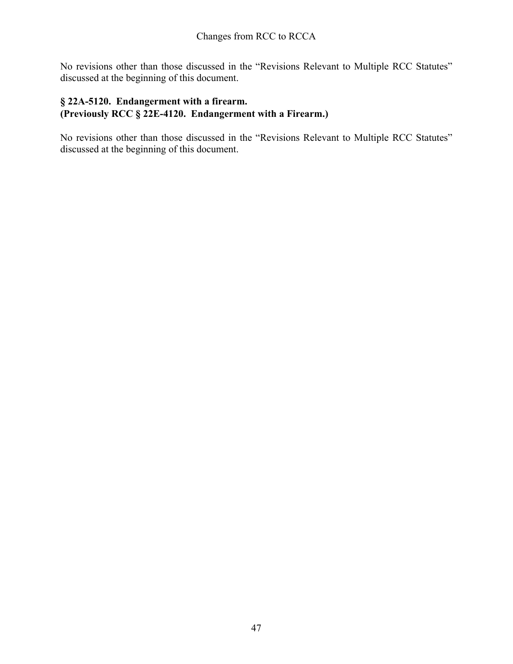No revisions other than those discussed in the "Revisions Relevant to Multiple RCC Statutes" discussed at the beginning of this document.

# **§ 22A-5120. Endangerment with a firearm. (Previously RCC § 22E-4120. Endangerment with a Firearm.)**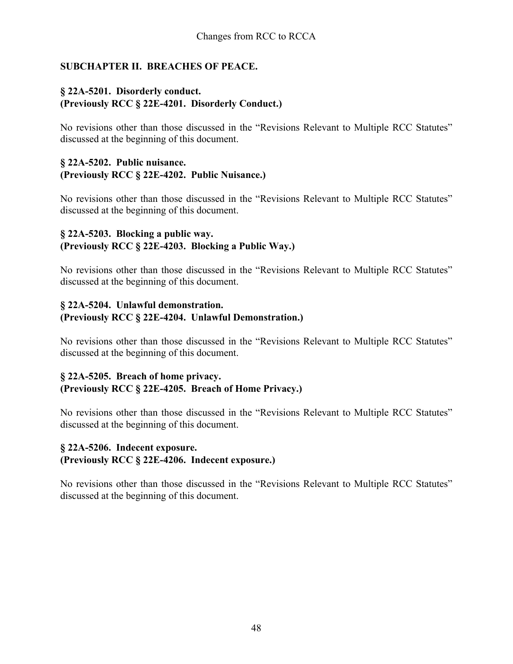# **SUBCHAPTER II. BREACHES OF PEACE.**

### **§ 22A-5201. Disorderly conduct. (Previously RCC § 22E-4201. Disorderly Conduct.)**

No revisions other than those discussed in the "Revisions Relevant to Multiple RCC Statutes" discussed at the beginning of this document.

#### **§ 22A-5202. Public nuisance. (Previously RCC § 22E-4202. Public Nuisance.)**

No revisions other than those discussed in the "Revisions Relevant to Multiple RCC Statutes" discussed at the beginning of this document.

### **§ 22A-5203. Blocking a public way. (Previously RCC § 22E-4203. Blocking a Public Way.)**

No revisions other than those discussed in the "Revisions Relevant to Multiple RCC Statutes" discussed at the beginning of this document.

# **§ 22A-5204. Unlawful demonstration. (Previously RCC § 22E-4204. Unlawful Demonstration.)**

No revisions other than those discussed in the "Revisions Relevant to Multiple RCC Statutes" discussed at the beginning of this document.

### **§ 22A-5205. Breach of home privacy. (Previously RCC § 22E-4205. Breach of Home Privacy.)**

No revisions other than those discussed in the "Revisions Relevant to Multiple RCC Statutes" discussed at the beginning of this document.

# **§ 22A-5206. Indecent exposure. (Previously RCC § 22E-4206. Indecent exposure.)**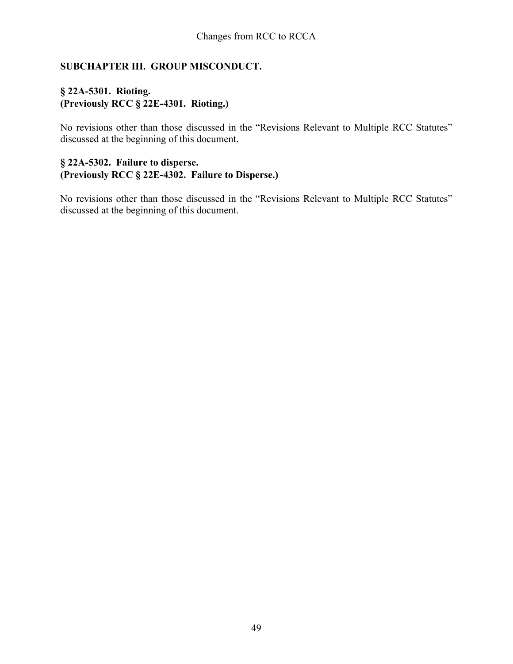# **SUBCHAPTER III. GROUP MISCONDUCT.**

# **§ 22A-5301. Rioting. (Previously RCC § 22E-4301. Rioting.)**

No revisions other than those discussed in the "Revisions Relevant to Multiple RCC Statutes" discussed at the beginning of this document.

### **§ 22A-5302. Failure to disperse. (Previously RCC § 22E-4302. Failure to Disperse.)**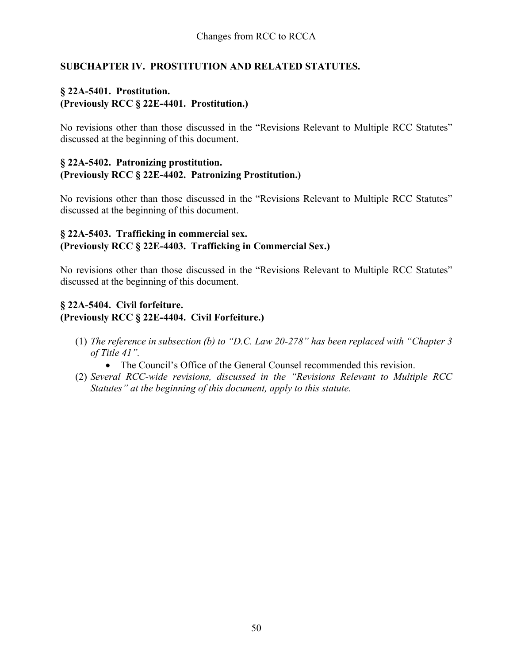# **SUBCHAPTER IV. PROSTITUTION AND RELATED STATUTES.**

# **§ 22A-5401. Prostitution. (Previously RCC § 22E-4401. Prostitution.)**

No revisions other than those discussed in the "Revisions Relevant to Multiple RCC Statutes" discussed at the beginning of this document.

#### **§ 22A-5402. Patronizing prostitution. (Previously RCC § 22E-4402. Patronizing Prostitution.)**

No revisions other than those discussed in the "Revisions Relevant to Multiple RCC Statutes" discussed at the beginning of this document.

### **§ 22A-5403. Trafficking in commercial sex. (Previously RCC § 22E-4403. Trafficking in Commercial Sex.)**

No revisions other than those discussed in the "Revisions Relevant to Multiple RCC Statutes" discussed at the beginning of this document.

# **§ 22A-5404. Civil forfeiture. (Previously RCC § 22E-4404. Civil Forfeiture.)**

- (1) *The reference in subsection (b) to "D.C. Law 20-278" has been replaced with "Chapter 3 of Title 41".*
	- The Council's Office of the General Counsel recommended this revision.
- (2) *Several RCC-wide revisions, discussed in the "Revisions Relevant to Multiple RCC Statutes" at the beginning of this document, apply to this statute.*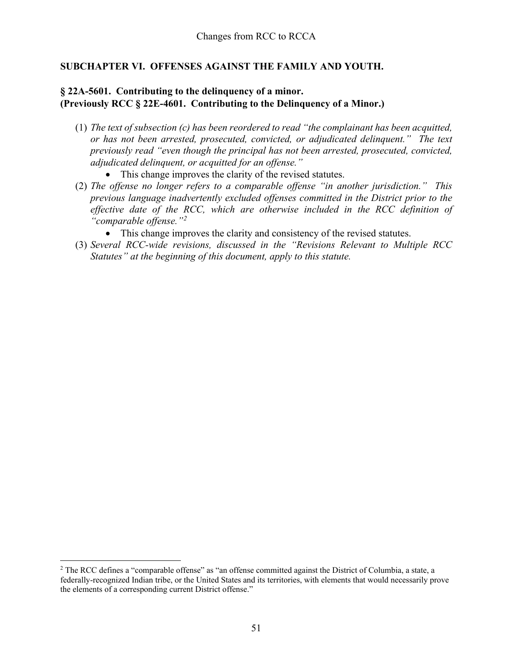### **SUBCHAPTER VI. OFFENSES AGAINST THE FAMILY AND YOUTH.**

# **§ 22A-5601. Contributing to the delinquency of a minor. (Previously RCC § 22E-4601. Contributing to the Delinquency of a Minor.)**

- (1) *The text of subsection (c) has been reordered to read "the complainant has been acquitted, or has not been arrested, prosecuted, convicted, or adjudicated delinquent." The text previously read "even though the principal has not been arrested, prosecuted, convicted, adjudicated delinquent, or acquitted for an offense."* 
	- This change improves the clarity of the revised statutes.
- (2) *The offense no longer refers to a comparable offense "in another jurisdiction." This previous language inadvertently excluded offenses committed in the District prior to the effective date of the RCC, which are otherwise included in the RCC definition of "comparable offense."[2](#page-50-0)*
	- This change improves the clarity and consistency of the revised statutes.
- (3) *Several RCC-wide revisions, discussed in the "Revisions Relevant to Multiple RCC Statutes" at the beginning of this document, apply to this statute.*

<span id="page-50-0"></span><sup>&</sup>lt;sup>2</sup> The RCC defines a "comparable offense" as "an offense committed against the District of Columbia, a state, a federally-recognized Indian tribe, or the United States and its territories, with elements that would necessarily prove the elements of a corresponding current District offense."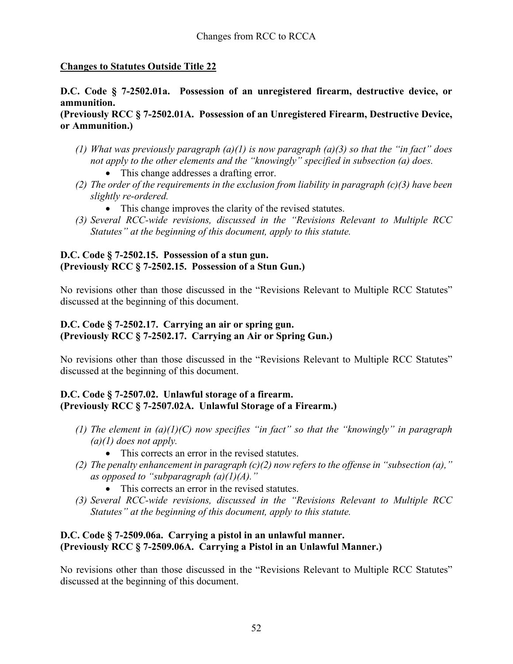# **Changes to Statutes Outside Title 22**

# **D.C. Code § 7-2502.01a. Possession of an unregistered firearm, destructive device, or ammunition.**

### **(Previously RCC § 7-2502.01A. Possession of an Unregistered Firearm, Destructive Device, or Ammunition.)**

- *(1) What was previously paragraph (a)(1) is now paragraph (a)(3) so that the "in fact" does not apply to the other elements and the "knowingly" specified in subsection (a) does.* 
	- This change addresses a drafting error.
- *(2) The order of the requirements in the exclusion from liability in paragraph (c)(3) have been slightly re-ordered.*
	- This change improves the clarity of the revised statutes.
- *(3) Several RCC-wide revisions, discussed in the "Revisions Relevant to Multiple RCC Statutes" at the beginning of this document, apply to this statute.*

### **D.C. Code § 7-2502.15. Possession of a stun gun. (Previously RCC § 7-2502.15. Possession of a Stun Gun.)**

No revisions other than those discussed in the "Revisions Relevant to Multiple RCC Statutes" discussed at the beginning of this document.

### **D.C. Code § 7-2502.17. Carrying an air or spring gun. (Previously RCC § 7-2502.17. Carrying an Air or Spring Gun.)**

No revisions other than those discussed in the "Revisions Relevant to Multiple RCC Statutes" discussed at the beginning of this document.

# **D.C. Code § 7-2507.02. Unlawful storage of a firearm. (Previously RCC § 7-2507.02A. Unlawful Storage of a Firearm.)**

- *(1) The element in (a)(1)(C) now specifies "in fact" so that the "knowingly" in paragraph (a)(1) does not apply.* 
	- This corrects an error in the revised statutes.
- *(2) The penalty enhancement in paragraph (c)(2) now refers to the offense in "subsection (a)," as opposed to "subparagraph (a)(1)(A)."* 
	- This corrects an error in the revised statutes.
- *(3) Several RCC-wide revisions, discussed in the "Revisions Relevant to Multiple RCC Statutes" at the beginning of this document, apply to this statute.*

# **D.C. Code § 7-2509.06a. Carrying a pistol in an unlawful manner. (Previously RCC § 7-2509.06A. Carrying a Pistol in an Unlawful Manner.)**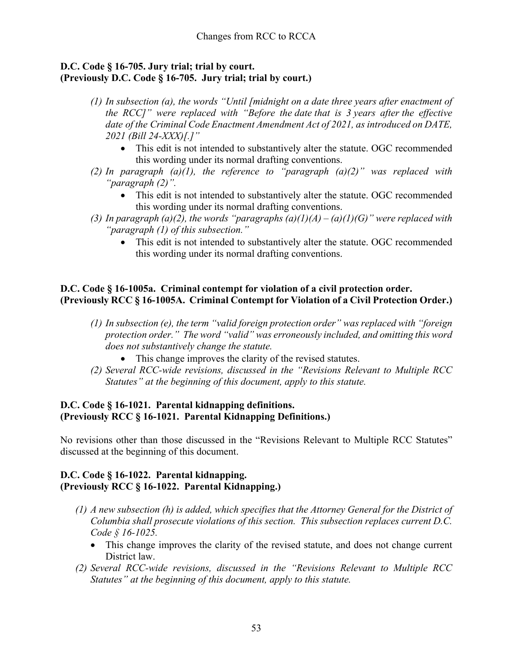### **D.C. Code § 16-705. Jury trial; trial by court. (Previously D.C. Code § 16-705. Jury trial; trial by court.)**

- *(1) In subsection (a), the words "Until [midnight on a date three years after enactment of the RCC]" were replaced with "Before the date that is 3 years after the effective date of the Criminal Code Enactment Amendment Act of 2021, as introduced on DATE, 2021 (Bill 24-XXX)[.]"* 
	- This edit is not intended to substantively alter the statute. OGC recommended this wording under its normal drafting conventions.
- *(2) In paragraph (a)(1), the reference to "paragraph (a)(2)" was replaced with "paragraph (2)".* 
	- This edit is not intended to substantively alter the statute. OGC recommended this wording under its normal drafting conventions.
- *(3) In paragraph (a)(2), the words "paragraphs (a)(1)(A) – (a)(1)(G)" were replaced with "paragraph (1) of this subsection."* 
	- This edit is not intended to substantively alter the statute. OGC recommended this wording under its normal drafting conventions.

### **D.C. Code § 16-1005a. Criminal contempt for violation of a civil protection order. (Previously RCC § 16-1005A. Criminal Contempt for Violation of a Civil Protection Order.)**

- *(1) In subsection (e), the term "valid foreign protection order" was replaced with "foreign protection order." The word "valid" was erroneously included, and omitting this word does not substantively change the statute.* 
	- This change improves the clarity of the revised statutes.
- *(2) Several RCC-wide revisions, discussed in the "Revisions Relevant to Multiple RCC Statutes" at the beginning of this document, apply to this statute.*

# **D.C. Code § 16-1021. Parental kidnapping definitions. (Previously RCC § 16-1021. Parental Kidnapping Definitions.)**

No revisions other than those discussed in the "Revisions Relevant to Multiple RCC Statutes" discussed at the beginning of this document.

# **D.C. Code § 16-1022. Parental kidnapping. (Previously RCC § 16-1022. Parental Kidnapping.)**

- *(1) A new subsection (h) is added, which specifies that the Attorney General for the District of Columbia shall prosecute violations of this section. This subsection replaces current D.C. Code § 16-1025.* 
	- This change improves the clarity of the revised statute, and does not change current District law.
- *(2) Several RCC-wide revisions, discussed in the "Revisions Relevant to Multiple RCC Statutes" at the beginning of this document, apply to this statute.*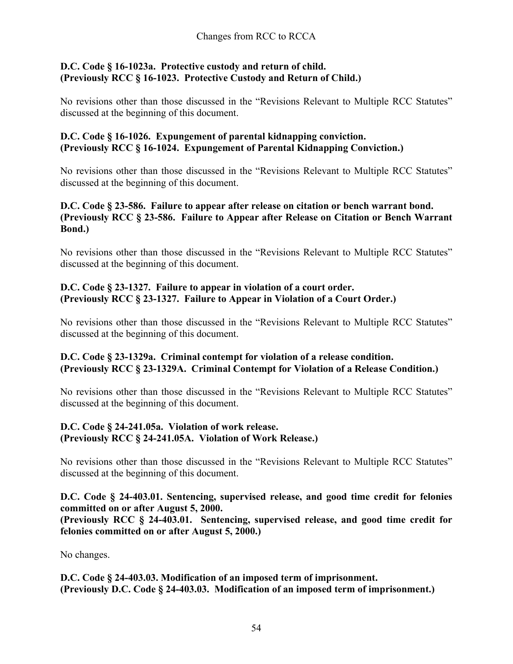### **D.C. Code § 16-1023a. Protective custody and return of child. (Previously RCC § 16-1023. Protective Custody and Return of Child.)**

No revisions other than those discussed in the "Revisions Relevant to Multiple RCC Statutes" discussed at the beginning of this document.

### **D.C. Code § 16-1026. Expungement of parental kidnapping conviction. (Previously RCC § 16-1024. Expungement of Parental Kidnapping Conviction.)**

No revisions other than those discussed in the "Revisions Relevant to Multiple RCC Statutes" discussed at the beginning of this document.

### **D.C. Code § 23-586. Failure to appear after release on citation or bench warrant bond. (Previously RCC § 23-586. Failure to Appear after Release on Citation or Bench Warrant Bond.)**

No revisions other than those discussed in the "Revisions Relevant to Multiple RCC Statutes" discussed at the beginning of this document.

# **D.C. Code § 23-1327. Failure to appear in violation of a court order. (Previously RCC § 23-1327. Failure to Appear in Violation of a Court Order.)**

No revisions other than those discussed in the "Revisions Relevant to Multiple RCC Statutes" discussed at the beginning of this document.

# **D.C. Code § 23-1329a. Criminal contempt for violation of a release condition. (Previously RCC § 23-1329A. Criminal Contempt for Violation of a Release Condition.)**

No revisions other than those discussed in the "Revisions Relevant to Multiple RCC Statutes" discussed at the beginning of this document.

### **D.C. Code § 24-241.05a. Violation of work release. (Previously RCC § 24-241.05A. Violation of Work Release.)**

No revisions other than those discussed in the "Revisions Relevant to Multiple RCC Statutes" discussed at the beginning of this document.

**D.C. Code § 24-403.01. Sentencing, supervised release, and good time credit for felonies committed on or after August 5, 2000. (Previously RCC § 24-403.01. Sentencing, supervised release, and good time credit for felonies committed on or after August 5, 2000.)**

No changes.

**D.C. Code § 24-403.03. Modification of an imposed term of imprisonment. (Previously D.C. Code § 24-403.03. Modification of an imposed term of imprisonment.)**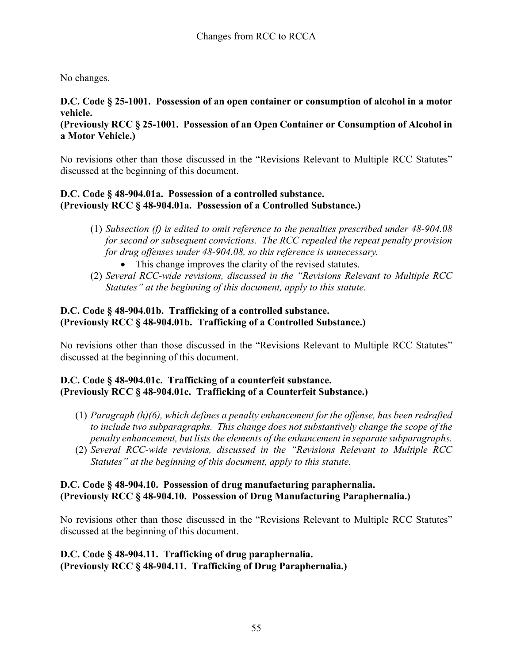No changes.

# **D.C. Code § 25-1001. Possession of an open container or consumption of alcohol in a motor vehicle.**

**(Previously RCC § 25-1001. Possession of an Open Container or Consumption of Alcohol in a Motor Vehicle.)**

No revisions other than those discussed in the "Revisions Relevant to Multiple RCC Statutes" discussed at the beginning of this document.

# **D.C. Code § 48-904.01a. Possession of a controlled substance. (Previously RCC § 48-904.01a. Possession of a Controlled Substance.)**

- (1) *Subsection (f) is edited to omit reference to the penalties prescribed under 48-904.08 for second or subsequent convictions. The RCC repealed the repeat penalty provision for drug offenses under 48-904.08, so this reference is unnecessary.* 
	- This change improves the clarity of the revised statutes.
- (2) *Several RCC-wide revisions, discussed in the "Revisions Relevant to Multiple RCC Statutes" at the beginning of this document, apply to this statute.*

# **D.C. Code § 48-904.01b. Trafficking of a controlled substance. (Previously RCC § 48-904.01b. Trafficking of a Controlled Substance.)**

No revisions other than those discussed in the "Revisions Relevant to Multiple RCC Statutes" discussed at the beginning of this document.

# **D.C. Code § 48-904.01c. Trafficking of a counterfeit substance. (Previously RCC § 48-904.01c. Trafficking of a Counterfeit Substance.)**

- (1) *Paragraph (h)(6), which defines a penalty enhancement for the offense, has been redrafted to include two subparagraphs. This change does not substantively change the scope of the penalty enhancement, but lists the elements of the enhancement in separate subparagraphs.*
- (2) *Several RCC-wide revisions, discussed in the "Revisions Relevant to Multiple RCC Statutes" at the beginning of this document, apply to this statute.*

# **D.C. Code § 48-904.10. Possession of drug manufacturing paraphernalia. (Previously RCC § 48-904.10. Possession of Drug Manufacturing Paraphernalia.)**

No revisions other than those discussed in the "Revisions Relevant to Multiple RCC Statutes" discussed at the beginning of this document.

#### **D.C. Code § 48-904.11. Trafficking of drug paraphernalia. (Previously RCC § 48-904.11. Trafficking of Drug Paraphernalia.)**